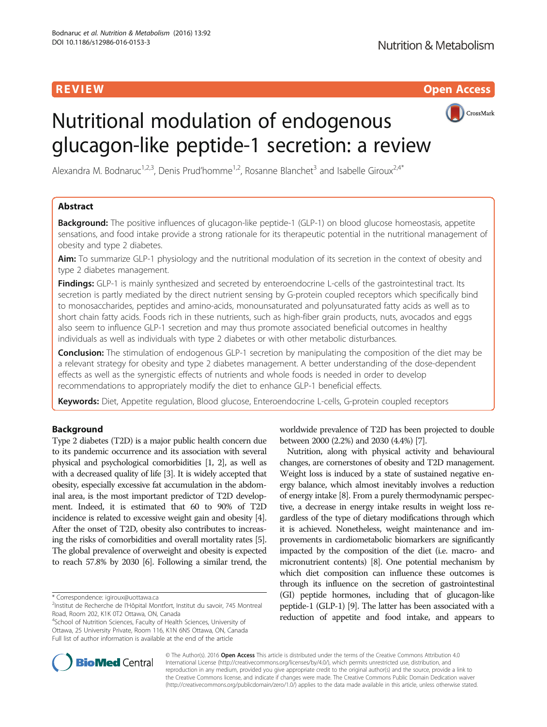R EVI EW Open Access



# Nutritional modulation of endogenous glucagon-like peptide-1 secretion: a review

Alexandra M. Bodnaruc<sup>1,2,3</sup>, Denis Prud'homme<sup>1,2</sup>, Rosanne Blanchet<sup>3</sup> and Isabelle Giroux<sup>2,4\*</sup>

# Abstract

**Background:** The positive influences of glucagon-like peptide-1 (GLP-1) on blood glucose homeostasis, appetite sensations, and food intake provide a strong rationale for its therapeutic potential in the nutritional management of obesity and type 2 diabetes.

Aim: To summarize GLP-1 physiology and the nutritional modulation of its secretion in the context of obesity and type 2 diabetes management.

Findings: GLP-1 is mainly synthesized and secreted by enteroendocrine L-cells of the gastrointestinal tract. Its secretion is partly mediated by the direct nutrient sensing by G-protein coupled receptors which specifically bind to monosaccharides, peptides and amino-acids, monounsaturated and polyunsaturated fatty acids as well as to short chain fatty acids. Foods rich in these nutrients, such as high-fiber grain products, nuts, avocados and eggs also seem to influence GLP-1 secretion and may thus promote associated beneficial outcomes in healthy individuals as well as individuals with type 2 diabetes or with other metabolic disturbances.

**Conclusion:** The stimulation of endogenous GLP-1 secretion by manipulating the composition of the diet may be a relevant strategy for obesity and type 2 diabetes management. A better understanding of the dose-dependent effects as well as the synergistic effects of nutrients and whole foods is needed in order to develop recommendations to appropriately modify the diet to enhance GLP-1 beneficial effects.

Keywords: Diet, Appetite regulation, Blood glucose, Enteroendocrine L-cells, G-protein coupled receptors

# Background

Type 2 diabetes (T2D) is a major public health concern due to its pandemic occurrence and its association with several physical and psychological comorbidities [\[1, 2\]](#page-11-0), as well as with a decreased quality of life [\[3\]](#page-11-0). It is widely accepted that obesity, especially excessive fat accumulation in the abdominal area, is the most important predictor of T2D development. Indeed, it is estimated that 60 to 90% of T2D incidence is related to excessive weight gain and obesity [[4](#page-11-0)]. After the onset of T2D, obesity also contributes to increasing the risks of comorbidities and overall mortality rates [[5](#page-11-0)]. The global prevalence of overweight and obesity is expected to reach 57.8% by 2030 [\[6\]](#page-11-0). Following a similar trend, the

\* Correspondence: [igiroux@uottawa.ca](mailto:igiroux@uottawa.ca) <sup>2</sup>

<sup>4</sup>School of Nutrition Sciences, Faculty of Health Sciences, University of Ottawa, 25 University Private, Room 116, K1N 6N5 Ottawa, ON, Canada Full list of author information is available at the end of the article

worldwide prevalence of T2D has been projected to double between 2000 (2.2%) and 2030 (4.4%) [\[7](#page-11-0)].

Nutrition, along with physical activity and behavioural changes, are cornerstones of obesity and T2D management. Weight loss is induced by a state of sustained negative energy balance, which almost inevitably involves a reduction of energy intake [\[8\]](#page-11-0). From a purely thermodynamic perspective, a decrease in energy intake results in weight loss regardless of the type of dietary modifications through which it is achieved. Nonetheless, weight maintenance and improvements in cardiometabolic biomarkers are significantly impacted by the composition of the diet (i.e. macro- and micronutrient contents) [[8](#page-11-0)]. One potential mechanism by which diet composition can influence these outcomes is through its influence on the secretion of gastrointestinal (GI) peptide hormones, including that of glucagon-like peptide-1 (GLP-1) [[9](#page-11-0)]. The latter has been associated with a reduction of appetite and food intake, and appears to



© The Author(s). 2016 Open Access This article is distributed under the terms of the Creative Commons Attribution 4.0 International License [\(http://creativecommons.org/licenses/by/4.0/](http://creativecommons.org/licenses/by/4.0/)), which permits unrestricted use, distribution, and reproduction in any medium, provided you give appropriate credit to the original author(s) and the source, provide a link to the Creative Commons license, and indicate if changes were made. The Creative Commons Public Domain Dedication waiver [\(http://creativecommons.org/publicdomain/zero/1.0/](http://creativecommons.org/publicdomain/zero/1.0/)) applies to the data made available in this article, unless otherwise stated.

<sup>&</sup>lt;sup>2</sup>Institut de Recherche de l'Hôpital Montfort, Institut du savoir, 745 Montreal Road, Room 202, K1K 0T2 Ottawa, ON, Canada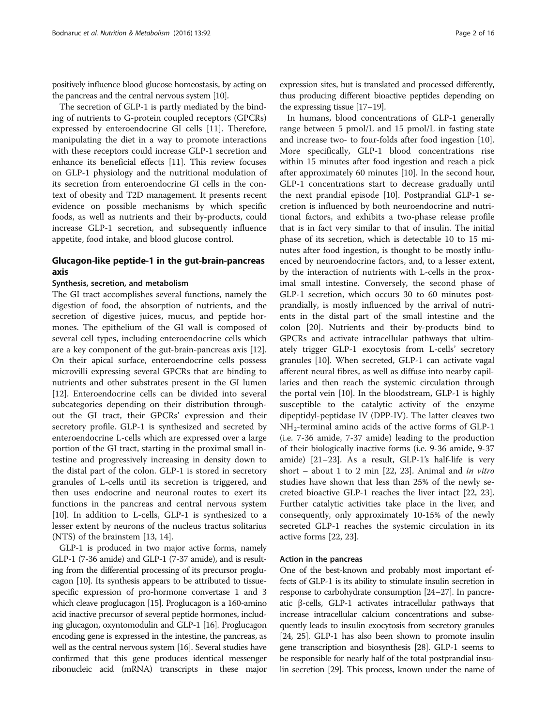positively influence blood glucose homeostasis, by acting on the pancreas and the central nervous system [\[10](#page-11-0)].

The secretion of GLP-1 is partly mediated by the binding of nutrients to G-protein coupled receptors (GPCRs) expressed by enteroendocrine GI cells [\[11\]](#page-11-0). Therefore, manipulating the diet in a way to promote interactions with these receptors could increase GLP-1 secretion and enhance its beneficial effects [[11\]](#page-11-0). This review focuses on GLP-1 physiology and the nutritional modulation of its secretion from enteroendocrine GI cells in the context of obesity and T2D management. It presents recent evidence on possible mechanisms by which specific foods, as well as nutrients and their by-products, could increase GLP-1 secretion, and subsequently influence appetite, food intake, and blood glucose control.

# Glucagon-like peptide-1 in the gut-brain-pancreas axis

# Synthesis, secretion, and metabolism

The GI tract accomplishes several functions, namely the digestion of food, the absorption of nutrients, and the secretion of digestive juices, mucus, and peptide hormones. The epithelium of the GI wall is composed of several cell types, including enteroendocrine cells which are a key component of the gut-brain-pancreas axis [\[12](#page-11-0)]. On their apical surface, enteroendocrine cells possess microvilli expressing several GPCRs that are binding to nutrients and other substrates present in the GI lumen [[12\]](#page-11-0). Enteroendocrine cells can be divided into several subcategories depending on their distribution throughout the GI tract, their GPCRs' expression and their secretory profile. GLP-1 is synthesized and secreted by enteroendocrine L-cells which are expressed over a large portion of the GI tract, starting in the proximal small intestine and progressively increasing in density down to the distal part of the colon. GLP-1 is stored in secretory granules of L-cells until its secretion is triggered, and then uses endocrine and neuronal routes to exert its functions in the pancreas and central nervous system [[10\]](#page-11-0). In addition to L-cells, GLP-1 is synthesized to a lesser extent by neurons of the nucleus tractus solitarius (NTS) of the brainstem [[13, 14\]](#page-11-0).

GLP-1 is produced in two major active forms, namely GLP-1 (7-36 amide) and GLP-1 (7-37 amide), and is resulting from the differential processing of its precursor proglucagon [\[10\]](#page-11-0). Its synthesis appears to be attributed to tissuespecific expression of pro-hormone convertase 1 and 3 which cleave proglucagon [[15\]](#page-11-0). Proglucagon is a 160-amino acid inactive precursor of several peptide hormones, including glucagon, oxyntomodulin and GLP-1 [\[16\]](#page-11-0). Proglucagon encoding gene is expressed in the intestine, the pancreas, as well as the central nervous system [[16](#page-11-0)]. Several studies have confirmed that this gene produces identical messenger ribonucleic acid (mRNA) transcripts in these major

expression sites, but is translated and processed differently, thus producing different bioactive peptides depending on the expressing tissue [[17](#page-11-0)–[19](#page-11-0)].

In humans, blood concentrations of GLP-1 generally range between 5 pmol/L and 15 pmol/L in fasting state and increase two- to four-folds after food ingestion [\[10](#page-11-0)]. More specifically, GLP-1 blood concentrations rise within 15 minutes after food ingestion and reach a pick after approximately 60 minutes [[10\]](#page-11-0). In the second hour, GLP-1 concentrations start to decrease gradually until the next prandial episode [[10](#page-11-0)]. Postprandial GLP-1 secretion is influenced by both neuroendocrine and nutritional factors, and exhibits a two-phase release profile that is in fact very similar to that of insulin. The initial phase of its secretion, which is detectable 10 to 15 minutes after food ingestion, is thought to be mostly influenced by neuroendocrine factors, and, to a lesser extent, by the interaction of nutrients with L-cells in the proximal small intestine. Conversely, the second phase of GLP-1 secretion, which occurs 30 to 60 minutes postprandially, is mostly influenced by the arrival of nutrients in the distal part of the small intestine and the colon [[20\]](#page-11-0). Nutrients and their by-products bind to GPCRs and activate intracellular pathways that ultimately trigger GLP-1 exocytosis from L-cells' secretory granules [\[10\]](#page-11-0). When secreted, GLP-1 can activate vagal afferent neural fibres, as well as diffuse into nearby capillaries and then reach the systemic circulation through the portal vein [[10](#page-11-0)]. In the bloodstream, GLP-1 is highly susceptible to the catalytic activity of the enzyme dipeptidyl-peptidase IV (DPP-IV). The latter cleaves two NH2-terminal amino acids of the active forms of GLP-1 (i.e. 7-36 amide, 7-37 amide) leading to the production of their biologically inactive forms (i.e. 9-36 amide, 9-37 amide) [\[21](#page-11-0)–[23](#page-11-0)]. As a result, GLP-1's half-life is very short – about 1 to 2 min  $[22, 23]$  $[22, 23]$ . Animal and in vitro studies have shown that less than 25% of the newly secreted bioactive GLP-1 reaches the liver intact [[22](#page-11-0), [23](#page-11-0)]. Further catalytic activities take place in the liver, and consequently, only approximately 10-15% of the newly secreted GLP-1 reaches the systemic circulation in its active forms [[22, 23\]](#page-11-0).

#### Action in the pancreas

One of the best-known and probably most important effects of GLP-1 is its ability to stimulate insulin secretion in response to carbohydrate consumption [[24](#page-11-0)–[27](#page-11-0)]. In pancreatic β-cells, GLP-1 activates intracellular pathways that increase intracellular calcium concentrations and subsequently leads to insulin exocytosis from secretory granules [[24](#page-11-0), [25\]](#page-11-0). GLP-1 has also been shown to promote insulin gene transcription and biosynthesis [\[28\]](#page-11-0). GLP-1 seems to be responsible for nearly half of the total postprandial insulin secretion [\[29](#page-11-0)]. This process, known under the name of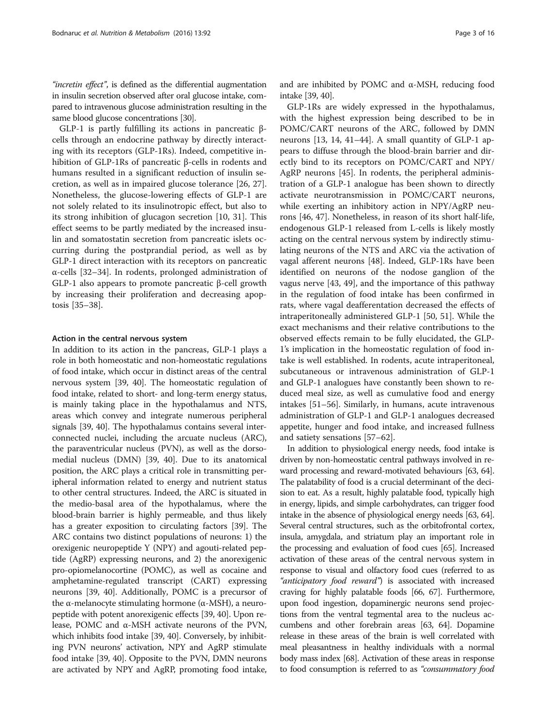"incretin effect", is defined as the differential augmentation in insulin secretion observed after oral glucose intake, compared to intravenous glucose administration resulting in the same blood glucose concentrations [\[30\]](#page-11-0).

GLP-1 is partly fulfilling its actions in pancreatic βcells through an endocrine pathway by directly interacting with its receptors (GLP-1Rs). Indeed, competitive inhibition of GLP-1Rs of pancreatic β-cells in rodents and humans resulted in a significant reduction of insulin secretion, as well as in impaired glucose tolerance [\[26](#page-11-0), [27](#page-11-0)]. Nonetheless, the glucose-lowering effects of GLP-1 are not solely related to its insulinotropic effect, but also to its strong inhibition of glucagon secretion [\[10](#page-11-0), [31\]](#page-11-0). This effect seems to be partly mediated by the increased insulin and somatostatin secretion from pancreatic islets occurring during the postprandial period, as well as by GLP-1 direct interaction with its receptors on pancreatic α-cells [\[32](#page-11-0)–[34\]](#page-11-0). In rodents, prolonged administration of GLP-1 also appears to promote pancreatic β-cell growth by increasing their proliferation and decreasing apoptosis [\[35](#page-11-0)–[38\]](#page-11-0).

#### Action in the central nervous system

In addition to its action in the pancreas, GLP-1 plays a role in both homeostatic and non-homeostatic regulations of food intake, which occur in distinct areas of the central nervous system [\[39, 40](#page-11-0)]. The homeostatic regulation of food intake, related to short- and long-term energy status, is mainly taking place in the hypothalamus and NTS, areas which convey and integrate numerous peripheral signals [[39](#page-11-0), [40](#page-11-0)]. The hypothalamus contains several interconnected nuclei, including the arcuate nucleus (ARC), the paraventricular nucleus (PVN), as well as the dorsomedial nucleus (DMN) [[39](#page-11-0), [40\]](#page-11-0). Due to its anatomical position, the ARC plays a critical role in transmitting peripheral information related to energy and nutrient status to other central structures. Indeed, the ARC is situated in the medio-basal area of the hypothalamus, where the blood-brain barrier is highly permeable, and thus likely has a greater exposition to circulating factors [\[39\]](#page-11-0). The ARC contains two distinct populations of neurons: 1) the orexigenic neuropeptide Y (NPY) and agouti-related peptide (AgRP) expressing neurons, and 2) the anorexigenic pro-opiomelanocortine (POMC), as well as cocaine and amphetamine-regulated transcript (CART) expressing neurons [[39](#page-11-0), [40](#page-11-0)]. Additionally, POMC is a precursor of the α-melanocyte stimulating hormone ( $α$ -MSH), a neuropeptide with potent anorexigenic effects [\[39, 40](#page-11-0)]. Upon release, POMC and α-MSH activate neurons of the PVN, which inhibits food intake [[39](#page-11-0), [40\]](#page-11-0). Conversely, by inhibiting PVN neurons' activation, NPY and AgRP stimulate food intake [\[39, 40](#page-11-0)]. Opposite to the PVN, DMN neurons are activated by NPY and AgRP, promoting food intake, and are inhibited by POMC and α-MSH, reducing food intake [[39](#page-11-0), [40\]](#page-11-0).

GLP-1Rs are widely expressed in the hypothalamus, with the highest expression being described to be in POMC/CART neurons of the ARC, followed by DMN neurons [[13, 14](#page-11-0), [41](#page-11-0)–[44](#page-11-0)]. A small quantity of GLP-1 appears to diffuse through the blood-brain barrier and directly bind to its receptors on POMC/CART and NPY/ AgRP neurons [\[45\]](#page-11-0). In rodents, the peripheral administration of a GLP-1 analogue has been shown to directly activate neurotransmission in POMC/CART neurons, while exerting an inhibitory action in NPY/AgRP neurons [[46, 47\]](#page-12-0). Nonetheless, in reason of its short half-life, endogenous GLP-1 released from L-cells is likely mostly acting on the central nervous system by indirectly stimulating neurons of the NTS and ARC via the activation of vagal afferent neurons [[48\]](#page-12-0). Indeed, GLP-1Rs have been identified on neurons of the nodose ganglion of the vagus nerve [\[43](#page-11-0), [49](#page-12-0)], and the importance of this pathway in the regulation of food intake has been confirmed in rats, where vagal deafferentation decreased the effects of intraperitoneally administered GLP-1 [\[50](#page-12-0), [51](#page-12-0)]. While the exact mechanisms and their relative contributions to the observed effects remain to be fully elucidated, the GLP-1's implication in the homeostatic regulation of food intake is well established. In rodents, acute intraperitoneal, subcutaneous or intravenous administration of GLP-1 and GLP-1 analogues have constantly been shown to reduced meal size, as well as cumulative food and energy intakes [\[51](#page-12-0)–[56\]](#page-12-0). Similarly, in humans, acute intravenous administration of GLP-1 and GLP-1 analogues decreased appetite, hunger and food intake, and increased fullness and satiety sensations [\[57](#page-12-0)–[62](#page-12-0)].

In addition to physiological energy needs, food intake is driven by non-homeostatic central pathways involved in reward processing and reward-motivated behaviours [[63](#page-12-0), [64](#page-12-0)]. The palatability of food is a crucial determinant of the decision to eat. As a result, highly palatable food, typically high in energy, lipids, and simple carbohydrates, can trigger food intake in the absence of physiological energy needs [\[63](#page-12-0), [64](#page-12-0)]. Several central structures, such as the orbitofrontal cortex, insula, amygdala, and striatum play an important role in the processing and evaluation of food cues [\[65](#page-12-0)]. Increased activation of these areas of the central nervous system in response to visual and olfactory food cues (referred to as "anticipatory food reward") is associated with increased craving for highly palatable foods [\[66](#page-12-0), [67\]](#page-12-0). Furthermore, upon food ingestion, dopaminergic neurons send projections from the ventral tegmental area to the nucleus accumbens and other forebrain areas [[63](#page-12-0), [64](#page-12-0)]. Dopamine release in these areas of the brain is well correlated with meal pleasantness in healthy individuals with a normal body mass index [[68](#page-12-0)]. Activation of these areas in response to food consumption is referred to as "consummatory food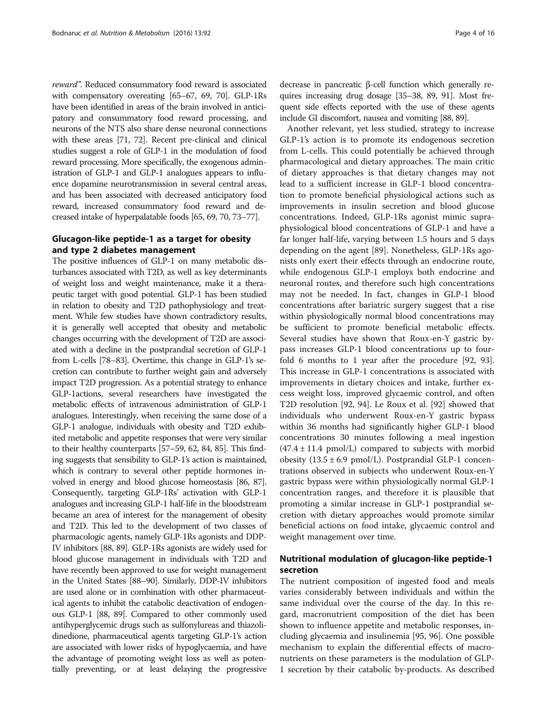reward". Reduced consummatory food reward is associated with compensatory overeating [\[65](#page-12-0)–[67](#page-12-0), [69, 70](#page-12-0)]. GLP-1Rs have been identified in areas of the brain involved in anticipatory and consummatory food reward processing, and neurons of the NTS also share dense neuronal connections with these areas [\[71, 72\]](#page-12-0). Recent pre-clinical and clinical studies suggest a role of GLP-1 in the modulation of food reward processing. More specifically, the exogenous administration of GLP-1 and GLP-1 analogues appears to influence dopamine neurotransmission in several central areas, and has been associated with decreased anticipatory food reward, increased consummatory food reward and decreased intake of hyperpalatable foods [\[65, 69, 70, 73](#page-12-0)–[77\]](#page-12-0).

# Glucagon-like peptide-1 as a target for obesity and type 2 diabetes management

The positive influences of GLP-1 on many metabolic disturbances associated with T2D, as well as key determinants of weight loss and weight maintenance, make it a therapeutic target with good potential. GLP-1 has been studied in relation to obesity and T2D pathophysiology and treatment. While few studies have shown contradictory results, it is generally well accepted that obesity and metabolic changes occurring with the development of T2D are associated with a decline in the postprandial secretion of GLP-1 from L-cells [\[78](#page-12-0)–[83](#page-12-0)]. Overtime, this change in GLP-1's secretion can contribute to further weight gain and adversely impact T2D progression. As a potential strategy to enhance GLP-1actions, several researchers have investigated the metabolic effects of intravenous administration of GLP-1 analogues. Interestingly, when receiving the same dose of a GLP-1 analogue, individuals with obesity and T2D exhibited metabolic and appetite responses that were very similar to their healthy counterparts [[57](#page-12-0)–[59](#page-12-0), [62, 84, 85](#page-12-0)]. This finding suggests that sensibility to GLP-1's action is maintained, which is contrary to several other peptide hormones involved in energy and blood glucose homeostasis [\[86, 87](#page-12-0)]. Consequently, targeting GLP-1Rs' activation with GLP-1 analogues and increasing GLP-1 half-life in the bloodstream became an area of interest for the management of obesity and T2D. This led to the development of two classes of pharmacologic agents, namely GLP-1Rs agonists and DDP-IV inhibitors [\[88,](#page-12-0) [89](#page-13-0)]. GLP-1Rs agonists are widely used for blood glucose management in individuals with T2D and have recently been approved to use for weight management in the United States [\[88](#page-12-0)–[90\]](#page-13-0). Similarly, DDP-IV inhibitors are used alone or in combination with other pharmaceutical agents to inhibit the catabolic deactivation of endogenous GLP-1 [\[88](#page-12-0), [89](#page-13-0)]. Compared to other commonly used antihyperglycemic drugs such as sulfonylureas and thiazolidinedione, pharmaceutical agents targeting GLP-1's action are associated with lower risks of hypoglycaemia, and have the advantage of promoting weight loss as well as potentially preventing, or at least delaying the progressive

decrease in pancreatic β-cell function which generally requires increasing drug dosage [[35](#page-11-0)–[38](#page-11-0), [89](#page-13-0), [91](#page-13-0)]. Most frequent side effects reported with the use of these agents include GI discomfort, nausea and vomiting [\[88,](#page-12-0) [89\]](#page-13-0).

Another relevant, yet less studied, strategy to increase GLP-1's action is to promote its endogenous secretion from L-cells. This could potentially be achieved through pharmacological and dietary approaches. The main critic of dietary approaches is that dietary changes may not lead to a sufficient increase in GLP-1 blood concentration to promote beneficial physiological actions such as improvements in insulin secretion and blood glucose concentrations. Indeed, GLP-1Rs agonist mimic supraphysiological blood concentrations of GLP-1 and have a far longer half-life, varying between 1.5 hours and 5 days depending on the agent [[89\]](#page-13-0). Nonetheless, GLP-1Rs agonists only exert their effects through an endocrine route, while endogenous GLP-1 employs both endocrine and neuronal routes, and therefore such high concentrations may not be needed. In fact, changes in GLP-1 blood concentrations after bariatric surgery suggest that a rise within physiologically normal blood concentrations may be sufficient to promote beneficial metabolic effects. Several studies have shown that Roux-en-Y gastric bypass increases GLP-1 blood concentrations up to fourfold 6 months to 1 year after the procedure [[92](#page-13-0), [93](#page-13-0)]. This increase in GLP-1 concentrations is associated with improvements in dietary choices and intake, further excess weight loss, improved glycaemic control, and often T2D resolution [\[92](#page-13-0), [94](#page-13-0)]. Le Roux et al. [\[92](#page-13-0)] showed that individuals who underwent Roux-en-Y gastric bypass within 36 months had significantly higher GLP-1 blood concentrations 30 minutes following a meal ingestion  $(47.4 \pm 11.4 \text{ pmol/L})$  compared to subjects with morbid obesity  $(13.5 \pm 6.9 \text{ pmol/L})$ . Postprandial GLP-1 concentrations observed in subjects who underwent Roux-en-Y gastric bypass were within physiologically normal GLP-1 concentration ranges, and therefore it is plausible that promoting a similar increase in GLP-1 postprandial secretion with dietary approaches would promote similar beneficial actions on food intake, glycaemic control and weight management over time.

# Nutritional modulation of glucagon-like peptide-1 secretion

The nutrient composition of ingested food and meals varies considerably between individuals and within the same individual over the course of the day. In this regard, macronutrient composition of the diet has been shown to influence appetite and metabolic responses, including glycaemia and insulinemia [\[95](#page-13-0), [96](#page-13-0)]. One possible mechanism to explain the differential effects of macronutrients on these parameters is the modulation of GLP-1 secretion by their catabolic by-products. As described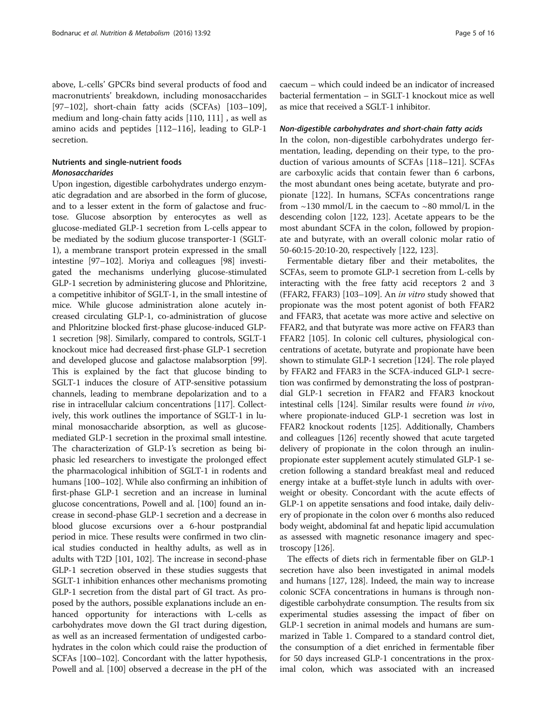above, L-cells' GPCRs bind several products of food and macronutrients' breakdown, including monosaccharides [[97](#page-13-0)–[102](#page-13-0)], short-chain fatty acids (SCFAs) [[103](#page-13-0)–[109](#page-13-0)], medium and long-chain fatty acids [[110](#page-13-0), [111](#page-13-0)] , as well as amino acids and peptides [\[112](#page-13-0)–[116\]](#page-13-0), leading to GLP-1 secretion.

# Nutrients and single-nutrient foods Monosaccharides

Upon ingestion, digestible carbohydrates undergo enzymatic degradation and are absorbed in the form of glucose, and to a lesser extent in the form of galactose and fructose. Glucose absorption by enterocytes as well as glucose-mediated GLP-1 secretion from L-cells appear to be mediated by the sodium glucose transporter-1 (SGLT-1), a membrane transport protein expressed in the small intestine [\[97](#page-13-0)–[102](#page-13-0)]. Moriya and colleagues [\[98\]](#page-13-0) investigated the mechanisms underlying glucose-stimulated GLP-1 secretion by administering glucose and Phloritzine, a competitive inhibitor of SGLT-1, in the small intestine of mice. While glucose administration alone acutely increased circulating GLP-1, co-administration of glucose and Phloritzine blocked first-phase glucose-induced GLP-1 secretion [[98](#page-13-0)]. Similarly, compared to controls, SGLT-1 knockout mice had decreased first-phase GLP-1 secretion and developed glucose and galactose malabsorption [[99](#page-13-0)]. This is explained by the fact that glucose binding to SGLT-1 induces the closure of ATP-sensitive potassium channels, leading to membrane depolarization and to a rise in intracellular calcium concentrations [\[117](#page-13-0)]. Collectively, this work outlines the importance of SGLT-1 in luminal monosaccharide absorption, as well as glucosemediated GLP-1 secretion in the proximal small intestine. The characterization of GLP-1's secretion as being biphasic led researchers to investigate the prolonged effect the pharmacological inhibition of SGLT-1 in rodents and humans [\[100](#page-13-0)–[102](#page-13-0)]. While also confirming an inhibition of first-phase GLP-1 secretion and an increase in luminal glucose concentrations, Powell and al. [\[100\]](#page-13-0) found an increase in second-phase GLP-1 secretion and a decrease in blood glucose excursions over a 6-hour postprandial period in mice. These results were confirmed in two clinical studies conducted in healthy adults, as well as in adults with T2D [\[101, 102](#page-13-0)]. The increase in second-phase GLP-1 secretion observed in these studies suggests that SGLT-1 inhibition enhances other mechanisms promoting GLP-1 secretion from the distal part of GI tract. As proposed by the authors, possible explanations include an enhanced opportunity for interactions with L-cells as carbohydrates move down the GI tract during digestion, as well as an increased fermentation of undigested carbohydrates in the colon which could raise the production of SCFAs [\[100](#page-13-0)–[102\]](#page-13-0). Concordant with the latter hypothesis, Powell and al. [[100](#page-13-0)] observed a decrease in the pH of the caecum – which could indeed be an indicator of increased bacterial fermentation – in SGLT-1 knockout mice as well as mice that received a SGLT-1 inhibitor.

# Non-digestible carbohydrates and short-chain fatty acids

In the colon, non-digestible carbohydrates undergo fermentation, leading, depending on their type, to the production of various amounts of SCFAs [\[118](#page-13-0)–[121\]](#page-13-0). SCFAs are carboxylic acids that contain fewer than 6 carbons, the most abundant ones being acetate, butyrate and propionate [[122](#page-13-0)]. In humans, SCFAs concentrations range from  $\sim$ 130 mmol/L in the caecum to  $\sim$ 80 mmol/L in the descending colon [\[122, 123\]](#page-13-0). Acetate appears to be the most abundant SCFA in the colon, followed by propionate and butyrate, with an overall colonic molar ratio of 50-60:15-20:10-20, respectively [\[122](#page-13-0), [123\]](#page-13-0).

Fermentable dietary fiber and their metabolites, the SCFAs, seem to promote GLP-1 secretion from L-cells by interacting with the free fatty acid receptors 2 and 3 (FFAR2, FFAR3) [\[103](#page-13-0)–[109\]](#page-13-0). An in vitro study showed that propionate was the most potent agonist of both FFAR2 and FFAR3, that acetate was more active and selective on FFAR2, and that butyrate was more active on FFAR3 than FFAR2 [\[105\]](#page-13-0). In colonic cell cultures, physiological concentrations of acetate, butyrate and propionate have been shown to stimulate GLP-1 secretion [\[124\]](#page-13-0). The role played by FFAR2 and FFAR3 in the SCFA-induced GLP-1 secretion was confirmed by demonstrating the loss of postprandial GLP-1 secretion in FFAR2 and FFAR3 knockout intestinal cells [\[124\]](#page-13-0). Similar results were found in vivo, where propionate-induced GLP-1 secretion was lost in FFAR2 knockout rodents [\[125\]](#page-13-0). Additionally, Chambers and colleagues [[126](#page-13-0)] recently showed that acute targeted delivery of propionate in the colon through an inulinpropionate ester supplement acutely stimulated GLP-1 secretion following a standard breakfast meal and reduced energy intake at a buffet-style lunch in adults with overweight or obesity. Concordant with the acute effects of GLP-1 on appetite sensations and food intake, daily delivery of propionate in the colon over 6 months also reduced body weight, abdominal fat and hepatic lipid accumulation as assessed with magnetic resonance imagery and spectroscopy [[126](#page-13-0)].

The effects of diets rich in fermentable fiber on GLP-1 secretion have also been investigated in animal models and humans [\[127,](#page-13-0) [128](#page-14-0)]. Indeed, the main way to increase colonic SCFA concentrations in humans is through nondigestible carbohydrate consumption. The results from six experimental studies assessing the impact of fiber on GLP-1 secretion in animal models and humans are summarized in Table [1](#page-5-0). Compared to a standard control diet, the consumption of a diet enriched in fermentable fiber for 50 days increased GLP-1 concentrations in the proximal colon, which was associated with an increased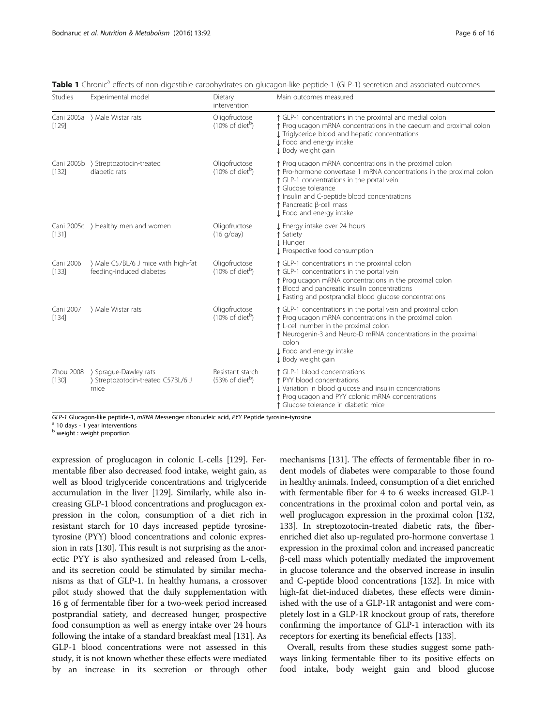| <b>Studies</b>     | Experimental model                                                  | Dietary<br>intervention                         | Main outcomes measured                                                                                                                                                                                                                                                                                  |
|--------------------|---------------------------------------------------------------------|-------------------------------------------------|---------------------------------------------------------------------------------------------------------------------------------------------------------------------------------------------------------------------------------------------------------------------------------------------------------|
| [129]              | Cani 2005a > Male Wistar rats                                       | Oligofructose<br>$(10\% \text{ of diet}^b)$     | ↑ GLP-1 concentrations in the proximal and medial colon<br>↑ Proglucagon mRNA concentrations in the caecum and proximal colon<br>I Triglyceride blood and hepatic concentrations<br>J Food and energy intake<br>J Body weight gain                                                                      |
| [132]              | Cani 2005b > Streptozotocin-treated<br>diabetic rats                | Oligofructose<br>$(10\% \text{ of diet}^b)$     | ↑ Proglucagon mRNA concentrations in the proximal colon<br>↑ Pro-hormone convertase 1 mRNA concentrations in the proximal colon<br>↑ GLP-1 concentrations in the portal vein<br>Glucose tolerance<br>t Insulin and C-peptide blood concentrations<br>Pancreatic β-cell mass<br>J Food and energy intake |
| [131]              | Cani 2005c > Healthy men and women                                  | Oligofructose<br>(16 q/day)                     | J Energy intake over 24 hours<br>Satiety<br>J. Hunger<br>I Prospective food consumption                                                                                                                                                                                                                 |
| Cani 2006<br>[133] | ) Male C57BL/6 J mice with high-fat<br>feeding-induced diabetes     | Oligofructose<br>$(10\% \text{ of diet}^b)$     | ↑ GLP-1 concentrations in the proximal colon<br>↑ GLP-1 concentrations in the portal vein<br>Proglucagon mRNA concentrations in the proximal colon<br>Blood and pancreatic insulin concentrations<br>I Fasting and postprandial blood glucose concentrations                                            |
| Cani 2007<br>[134] | > Male Wistar rats                                                  | Oligofructose<br>$(10\% \text{ of diet}^b)$     | ↑ GLP-1 concentrations in the portal vein and proximal colon<br>↑ Proglucagon mRNA concentrations in the proximal colon<br>t L-cell number in the proximal colon<br>↑ Neurogenin-3 and Neuro-D mRNA concentrations in the proximal<br>colon<br>J Food and energy intake<br>J Body weight gain           |
| Zhou 2008<br>[130] | > Sprague-Dawley rats<br>> Streptozotocin-treated C57BL/6 J<br>mice | Resistant starch<br>(53% of diet <sup>b</sup> ) | ↑ GLP-1 blood concentrations<br>↑ PYY blood concentrations<br>↓ Variation in blood glucose and insulin concentrations<br>Proglucagon and PYY colonic mRNA concentrations<br>↑ Glucose tolerance in diabetic mice                                                                                        |

<span id="page-5-0"></span>Table 1 Chronic<sup>a</sup> effects of non-digestible carbohydrates on glucagon-like peptide-1 (GLP-1) secretion and associated outcomes

 $GLP-1$  Glucagon-like peptide-1, mRNA Messenger ribonucleic acid, PYY Peptide tyrosine-tyrosine<br><sup>a</sup> 10 days - 1 year interventions

**b** weight : weight proportion

expression of proglucagon in colonic L-cells [\[129](#page-14-0)]. Fermentable fiber also decreased food intake, weight gain, as well as blood triglyceride concentrations and triglyceride accumulation in the liver [[129](#page-14-0)]. Similarly, while also increasing GLP-1 blood concentrations and proglucagon expression in the colon, consumption of a diet rich in resistant starch for 10 days increased peptide tyrosinetyrosine (PYY) blood concentrations and colonic expression in rats [\[130\]](#page-14-0). This result is not surprising as the anorectic PYY is also synthesized and released from L-cells, and its secretion could be stimulated by similar mechanisms as that of GLP-1. In healthy humans, a crossover pilot study showed that the daily supplementation with 16 g of fermentable fiber for a two-week period increased postprandial satiety, and decreased hunger, prospective food consumption as well as energy intake over 24 hours following the intake of a standard breakfast meal [\[131\]](#page-14-0). As GLP-1 blood concentrations were not assessed in this study, it is not known whether these effects were mediated by an increase in its secretion or through other

mechanisms [[131](#page-14-0)]. The effects of fermentable fiber in rodent models of diabetes were comparable to those found in healthy animals. Indeed, consumption of a diet enriched with fermentable fiber for 4 to 6 weeks increased GLP-1 concentrations in the proximal colon and portal vein, as well proglucagon expression in the proximal colon [\[132](#page-14-0), [133](#page-14-0)]. In streptozotocin-treated diabetic rats, the fiberenriched diet also up-regulated pro-hormone convertase 1 expression in the proximal colon and increased pancreatic β-cell mass which potentially mediated the improvement in glucose tolerance and the observed increase in insulin and C-peptide blood concentrations [[132](#page-14-0)]. In mice with high-fat diet-induced diabetes, these effects were diminished with the use of a GLP-1R antagonist and were completely lost in a GLP-1R knockout group of rats, therefore confirming the importance of GLP-1 interaction with its receptors for exerting its beneficial effects [\[133\]](#page-14-0).

Overall, results from these studies suggest some pathways linking fermentable fiber to its positive effects on food intake, body weight gain and blood glucose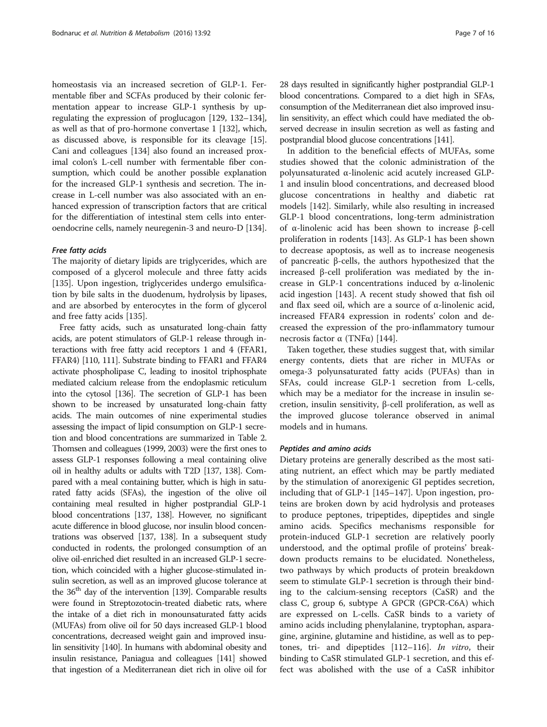homeostasis via an increased secretion of GLP-1. Fermentable fiber and SCFAs produced by their colonic fermentation appear to increase GLP-1 synthesis by upregulating the expression of proglucagon [\[129, 132](#page-14-0)–[134](#page-14-0)], as well as that of pro-hormone convertase 1 [[132](#page-14-0)], which, as discussed above, is responsible for its cleavage [[15](#page-11-0)]. Cani and colleagues [[134](#page-14-0)] also found an increased proximal colon's L-cell number with fermentable fiber consumption, which could be another possible explanation for the increased GLP-1 synthesis and secretion. The increase in L-cell number was also associated with an enhanced expression of transcription factors that are critical for the differentiation of intestinal stem cells into enteroendocrine cells, namely neuregenin-3 and neuro-D [[134](#page-14-0)].

## Free fatty acids

The majority of dietary lipids are triglycerides, which are composed of a glycerol molecule and three fatty acids [[135\]](#page-14-0). Upon ingestion, triglycerides undergo emulsification by bile salts in the duodenum, hydrolysis by lipases, and are absorbed by enterocytes in the form of glycerol and free fatty acids [\[135](#page-14-0)].

Free fatty acids, such as unsaturated long-chain fatty acids, are potent stimulators of GLP-1 release through interactions with free fatty acid receptors 1 and 4 (FFAR1, FFAR4) [\[110, 111\]](#page-13-0). Substrate binding to FFAR1 and FFAR4 activate phospholipase C, leading to inositol triphosphate mediated calcium release from the endoplasmic reticulum into the cytosol [\[136](#page-14-0)]. The secretion of GLP-1 has been shown to be increased by unsaturated long-chain fatty acids. The main outcomes of nine experimental studies assessing the impact of lipid consumption on GLP-1 secretion and blood concentrations are summarized in Table [2](#page-7-0). Thomsen and colleagues (1999, 2003) were the first ones to assess GLP-1 responses following a meal containing olive oil in healthy adults or adults with T2D [[137, 138\]](#page-14-0). Compared with a meal containing butter, which is high in saturated fatty acids (SFAs), the ingestion of the olive oil containing meal resulted in higher postprandial GLP-1 blood concentrations [\[137, 138](#page-14-0)]. However, no significant acute difference in blood glucose, nor insulin blood concentrations was observed [\[137, 138\]](#page-14-0). In a subsequent study conducted in rodents, the prolonged consumption of an olive oil-enriched diet resulted in an increased GLP-1 secretion, which coincided with a higher glucose-stimulated insulin secretion, as well as an improved glucose tolerance at the 36<sup>th</sup> day of the intervention [[139\]](#page-14-0). Comparable results were found in Streptozotocin-treated diabetic rats, where the intake of a diet rich in monounsaturated fatty acids (MUFAs) from olive oil for 50 days increased GLP-1 blood concentrations, decreased weight gain and improved insulin sensitivity [\[140](#page-14-0)]. In humans with abdominal obesity and insulin resistance, Paniagua and colleagues [\[141](#page-14-0)] showed that ingestion of a Mediterranean diet rich in olive oil for 28 days resulted in significantly higher postprandial GLP-1 blood concentrations. Compared to a diet high in SFAs, consumption of the Mediterranean diet also improved insulin sensitivity, an effect which could have mediated the observed decrease in insulin secretion as well as fasting and postprandial blood glucose concentrations [[141\]](#page-14-0).

In addition to the beneficial effects of MUFAs, some studies showed that the colonic administration of the polyunsaturated α-linolenic acid acutely increased GLP-1 and insulin blood concentrations, and decreased blood glucose concentrations in healthy and diabetic rat models [[142](#page-14-0)]. Similarly, while also resulting in increased GLP-1 blood concentrations, long-term administration of α-linolenic acid has been shown to increase β-cell proliferation in rodents [[143](#page-14-0)]. As GLP-1 has been shown to decrease apoptosis, as well as to increase neogenesis of pancreatic β-cells, the authors hypothesized that the increased β-cell proliferation was mediated by the increase in GLP-1 concentrations induced by α-linolenic acid ingestion [\[143](#page-14-0)]. A recent study showed that fish oil and flax seed oil, which are a source of α-linolenic acid, increased FFAR4 expression in rodents' colon and decreased the expression of the pro-inflammatory tumour necrosis factor α (TNFα) [[144\]](#page-14-0).

Taken together, these studies suggest that, with similar energy contents, diets that are richer in MUFAs or omega-3 polyunsaturated fatty acids (PUFAs) than in SFAs, could increase GLP-1 secretion from L-cells, which may be a mediator for the increase in insulin secretion, insulin sensitivity, β-cell proliferation, as well as the improved glucose tolerance observed in animal models and in humans.

### Peptides and amino acids

Dietary proteins are generally described as the most satiating nutrient, an effect which may be partly mediated by the stimulation of anorexigenic GI peptides secretion, including that of GLP-1 [[145](#page-14-0)–[147](#page-14-0)]. Upon ingestion, proteins are broken down by acid hydrolysis and proteases to produce peptones, tripeptides, dipeptides and single amino acids. Specifics mechanisms responsible for protein-induced GLP-1 secretion are relatively poorly understood, and the optimal profile of proteins' breakdown products remains to be elucidated. Nonetheless, two pathways by which products of protein breakdown seem to stimulate GLP-1 secretion is through their binding to the calcium-sensing receptors (CaSR) and the class C, group 6, subtype A GPCR (GPCR-C6A) which are expressed on L-cells. CaSR binds to a variety of amino acids including phenylalanine, tryptophan, asparagine, arginine, glutamine and histidine, as well as to pep-tones, tri- and dipeptides [\[112](#page-13-0)-[116](#page-13-0)]. In vitro, their binding to CaSR stimulated GLP-1 secretion, and this effect was abolished with the use of a CaSR inhibitor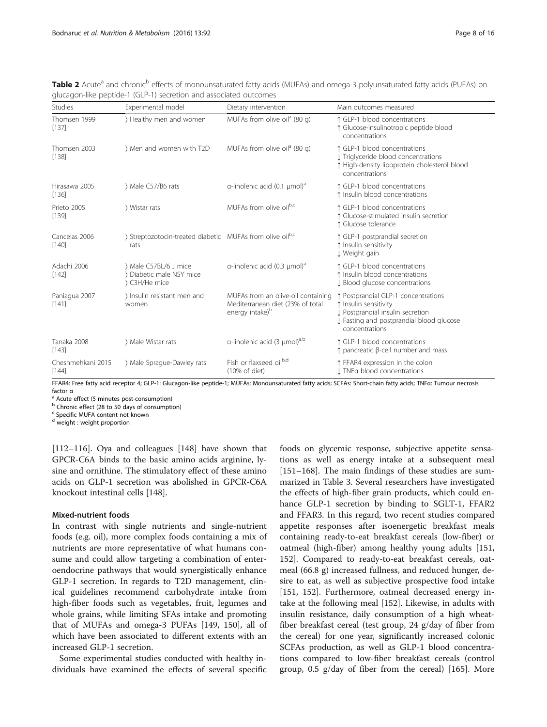<span id="page-7-0"></span>Table 2 Acute<sup>a</sup> and chronic<sup>b</sup> effects of monounsaturated fatty acids (MUFAs) and omega-3 polyunsaturated fatty acids (PUFAs) on glucagon-like peptide-1 (GLP-1) secretion and associated outcomes

| <b>Studies</b>             | Experimental model                                                            | Dietary intervention                                                                                  | Main outcomes measured                                                                                                                                         |
|----------------------------|-------------------------------------------------------------------------------|-------------------------------------------------------------------------------------------------------|----------------------------------------------------------------------------------------------------------------------------------------------------------------|
| Thomsen 1999<br>[137]      | > Healthy men and women                                                       | MUFAs from olive oil <sup>a</sup> (80 g)                                                              | ↑ GLP-1 blood concentrations<br>Glucose-insulinotropic peptide blood<br>concentrations                                                                         |
| Thomsen 2003<br>[138]      | ) Men and women with T2D                                                      | MUFAs from olive oil <sup>a</sup> (80 g)                                                              | ↑ GLP-1 blood concentrations<br>I Triglyceride blood concentrations<br>↑ High-density lipoprotein cholesterol blood<br>concentrations                          |
| Hirasawa 2005<br>[136]     | > Male C57/B6 rats                                                            | $\alpha$ -linolenic acid (0.1 µmol) <sup>a</sup>                                                      | ↑ GLP-1 blood concentrations<br>t Insulin blood concentrations                                                                                                 |
| Prieto 2005<br>[139]       | Wistar rats                                                                   | MUFAs from olive oil <sup>b,c</sup>                                                                   | ↑ GLP-1 blood concentrations<br>Glucose-stimulated insulin secretion<br>↑ Glucose tolerance                                                                    |
| Cancelas 2006<br>[140]     | > Streptozotocin-treated diabetic MUFAs from olive oil <sup>b,c</sup><br>rats |                                                                                                       | ↑ GLP-1 postprandial secretion<br>t Insulin sensitivity<br>J Weight gain                                                                                       |
| Adachi 2006<br>[142]       | > Male C57BL/6 J mice<br>Diabetic male NSY mice<br>> C3H/He mice              | $\alpha$ -linolenic acid (0.3 µmol) <sup>a</sup>                                                      | ↑ GLP-1 blood concentrations<br><sup>1</sup> Insulin blood concentrations<br>I Blood glucose concentrations                                                    |
| Paniagua 2007<br>[141]     | ) Insulin resistant men and<br>women                                          | MUFAs from an olive-oil containing<br>Mediterranean diet (23% of total<br>energy intake) <sup>b</sup> | ↑ Postprandial GLP-1 concentrations<br>↑ Insulin sensitivity<br>↓ Postprandial insulin secretion<br>I Fasting and postprandial blood glucose<br>concentrations |
| Tanaka 2008<br>[143]       | > Male Wistar rats                                                            | $\alpha$ -linolenic acid (3 µmol) <sup>a,b</sup>                                                      | ↑ GLP-1 blood concentrations<br>$\uparrow$ pancreatic $\upbeta$ -cell number and mass                                                                          |
| Cheshmehkani 2015<br>[144] | > Male Sprague-Dawley rats                                                    | Fish or flaxseed oil <sup>b,d</sup><br>$(10\% \text{ of diet})$                                       | ↑ FFAR4 expression in the colon<br>I TNFa blood concentrations                                                                                                 |

FFAR4: Free fatty acid receptor 4; GLP-1: Glucagon-like peptide-1; MUFAs: Monounsaturated fatty acids; SCFAs: Short-chain fatty acids; TNFα: Tumour necrosis factor  $\alpha$ <br><sup>a</sup> Acute effect (5 minutes post-consumption)

<sup>b</sup> Chronic effect (28 to 50 days of consumption)

Specific MUFA content not known

<sup>d</sup> weight : weight proportion

[[112](#page-13-0)–[116](#page-13-0)]. Oya and colleagues [[148](#page-14-0)] have shown that GPCR-C6A binds to the basic amino acids arginine, lysine and ornithine. The stimulatory effect of these amino acids on GLP-1 secretion was abolished in GPCR-C6A knockout intestinal cells [\[148\]](#page-14-0).

# Mixed-nutrient foods

In contrast with single nutrients and single-nutrient foods (e.g. oil), more complex foods containing a mix of nutrients are more representative of what humans consume and could allow targeting a combination of enteroendocrine pathways that would synergistically enhance GLP-1 secretion. In regards to T2D management, clinical guidelines recommend carbohydrate intake from high-fiber foods such as vegetables, fruit, legumes and whole grains, while limiting SFAs intake and promoting that of MUFAs and omega-3 PUFAs [\[149, 150](#page-14-0)], all of which have been associated to different extents with an increased GLP-1 secretion.

Some experimental studies conducted with healthy individuals have examined the effects of several specific

foods on glycemic response, subjective appetite sensations as well as energy intake at a subsequent meal [[151](#page-14-0)–[168](#page-15-0)]. The main findings of these studies are summarized in Table [3.](#page-8-0) Several researchers have investigated the effects of high-fiber grain products, which could enhance GLP-1 secretion by binding to SGLT-1, FFAR2 and FFAR3. In this regard, two recent studies compared appetite responses after isoenergetic breakfast meals containing ready-to-eat breakfast cereals (low-fiber) or oatmeal (high-fiber) among healthy young adults [[151](#page-14-0), [152](#page-14-0)]. Compared to ready-to-eat breakfast cereals, oatmeal (66.8 g) increased fullness, and reduced hunger, desire to eat, as well as subjective prospective food intake [[151, 152](#page-14-0)]. Furthermore, oatmeal decreased energy intake at the following meal [\[152](#page-14-0)]. Likewise, in adults with insulin resistance, daily consumption of a high wheatfiber breakfast cereal (test group, 24 g/day of fiber from the cereal) for one year, significantly increased colonic SCFAs production, as well as GLP-1 blood concentrations compared to low-fiber breakfast cereals (control group, 0.5 g/day of fiber from the cereal) [[165](#page-14-0)]. More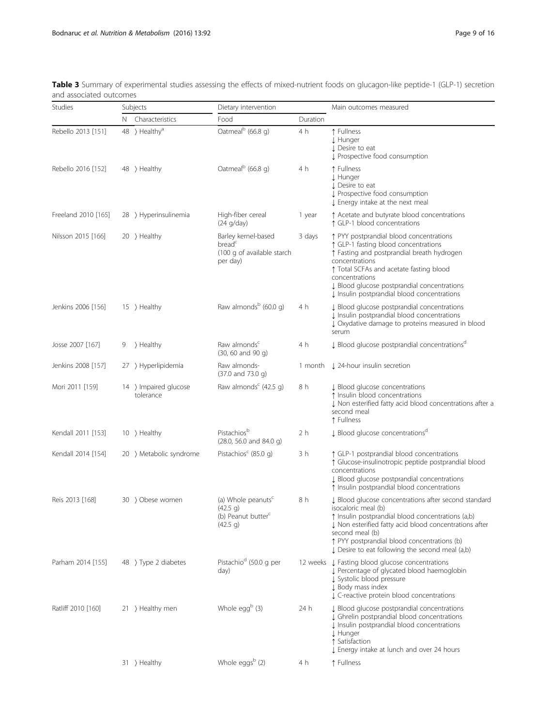| Studies             | Subjects |                                    | Dietary intervention                                                                     |          | Main outcomes measured                                                                                                                                                                                                                                                                                            |  |
|---------------------|----------|------------------------------------|------------------------------------------------------------------------------------------|----------|-------------------------------------------------------------------------------------------------------------------------------------------------------------------------------------------------------------------------------------------------------------------------------------------------------------------|--|
|                     |          | N Characteristics                  | Food                                                                                     | Duration |                                                                                                                                                                                                                                                                                                                   |  |
| Rebello 2013 [151]  |          | 48 > Healthy <sup>a</sup>          | Oatmeal <sup>b</sup> (66.8 g)                                                            | 4 h      | ↑ Fullness<br><b>J</b> Hunger<br>↓ Desire to eat<br>Prospective food consumption                                                                                                                                                                                                                                  |  |
| Rebello 2016 [152]  |          | $48$ > Healthy                     | Oatmeal <sup>b</sup> (66.8 g)                                                            | 4 h      | ↑ Fullness<br>J Hunger<br>J Desire to eat<br>Prospective food consumption<br>↓ Energy intake at the next meal                                                                                                                                                                                                     |  |
| Freeland 2010 [165] |          | 28 > Hyperinsulinemia              | High-fiber cereal<br>(24 g/day)                                                          | 1 year   | ↑ Acetate and butyrate blood concentrations<br>↑ GLP-1 blood concentrations                                                                                                                                                                                                                                       |  |
| Nilsson 2015 [166]  |          | 20 } Healthy                       | Barley kernel-based<br>bread <sup>c</sup><br>(100 g of available starch<br>per day)      | 3 days   | ↑ PYY postprandial blood concentrations<br>↑ GLP-1 fasting blood concentrations<br>↑ Fasting and postprandial breath hydrogen<br>concentrations<br>↑ Total SCFAs and acetate fasting blood<br>concentrations<br>J Blood glucose postprandial concentrations<br>I Insulin postprandial blood concentrations        |  |
| Jenkins 2006 [156]  |          | 15 > Healthy                       | Raw almonds <sup>b</sup> (60.0 g)                                                        | 4 h      | J Blood glucose postprandial concentrations<br>I Insulin postprandial blood concentrations<br>↓ Oxydative damage to proteins measured in blood<br>serum                                                                                                                                                           |  |
| Josse 2007 [167]    | 9        | > Healthy                          | Raw almonds <sup>c</sup><br>$(30, 60$ and $90$ q)                                        | 4 h      | ↓ Blood glucose postprandial concentrations <sup>d</sup>                                                                                                                                                                                                                                                          |  |
| Jenkins 2008 [157]  |          | 27 > Hyperlipidemia                | Raw almonds-<br>$(37.0 \text{ and } 73.0 \text{ q})$                                     | 1 month  | 1 24-hour insulin secretion                                                                                                                                                                                                                                                                                       |  |
| Mori 2011 [159]     |          | 14 > Impaired glucose<br>tolerance | Raw almonds <sup>c</sup> (42.5 g)                                                        | 8 h      | ↓ Blood glucose concentrations<br>t Insulin blood concentrations<br>↓ Non esterified fatty acid blood concentrations after a<br>second meal<br>↑ Fullness                                                                                                                                                         |  |
| Kendall 2011 [153]  |          | $10$ > Healthy                     | Pistachiosb<br>$(28.0, 56.0 \text{ and } 84.0 \text{ g})$                                | 2 h      | ↓ Blood glucose concentrations <sup>d</sup>                                                                                                                                                                                                                                                                       |  |
| Kendall 2014 [154]  |          | 20 ) Metabolic syndrome            | Pistachios <sup>c</sup> (85.0 q)                                                         | 3 h      | ↑ GLP-1 postprandial blood concentrations<br>↑ Glucose-insulinotropic peptide postprandial blood<br>concentrations<br>↓ Blood glucose postprandial concentrations<br>t Insulin postprandial blood concentrations                                                                                                  |  |
| Reis 2013 [168]     |          | 30 > Obese women                   | (a) Whole peanuts <sup>c</sup><br>(42.5 g)<br>(b) Peanut butter <sup>c</sup><br>(42.5 g) | 8 h      | J Blood glucose concentrations after second standard<br>isocaloric meal (b)<br>t Insulin postprandial blood concentrations (a,b)<br>J. Non esterified fatty acid blood concentrations after<br>second meal (b)<br>↑ PYY postprandial blood concentrations (b)<br>J. Desire to eat following the second meal (a,b) |  |
| Parham 2014 [155]   |          | 48 > Type 2 diabetes               | Pistachio <sup>d</sup> (50.0 g per<br>day)                                               |          | 12 weeks J Fasting blood glucose concentrations<br>J Percentage of glycated blood haemoglobin<br>I Systolic blood pressure<br>J Body mass index<br>↓ C-reactive protein blood concentrations                                                                                                                      |  |
| Ratliff 2010 [160]  |          | 21 > Healthy men                   | Whole egg <sup>b</sup> (3)                                                               | 24 h     | J Blood glucose postprandial concentrations<br>↓ Ghrelin postprandial blood concentrations<br>I Insulin postprandial blood concentrations<br>J Hunger<br>↑ Satisfaction<br>↓ Energy intake at lunch and over 24 hours                                                                                             |  |
|                     |          | 31 > Healthy                       | Whole eggsb (2)                                                                          | 4 h      | ↑ Fullness                                                                                                                                                                                                                                                                                                        |  |

<span id="page-8-0"></span>Table 3 Summary of experimental studies assessing the effects of mixed-nutrient foods on glucagon-like peptide-1 (GLP-1) secretion and associated outcomes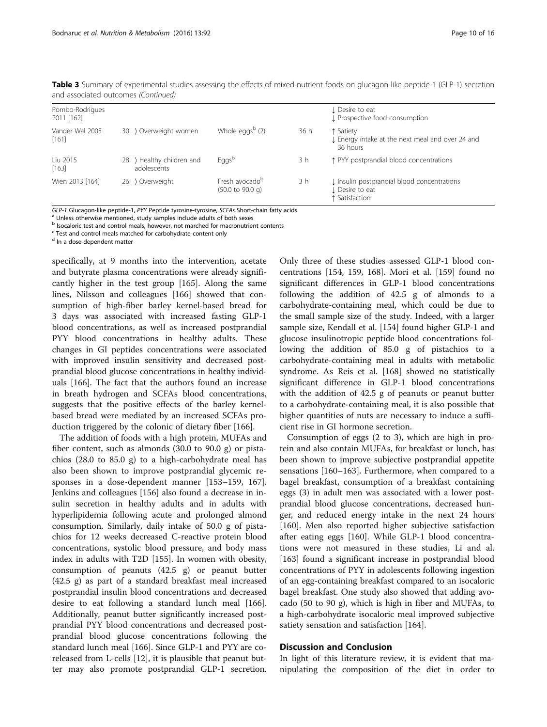| Pombo-Rodrigues<br>2011 [162] |    |                                       |                                                                   |      | <b>J</b> Desire to eat<br>I Prospective food consumption                         |
|-------------------------------|----|---------------------------------------|-------------------------------------------------------------------|------|----------------------------------------------------------------------------------|
| Vander Wal 2005<br>[161]      |    | 30 > Overweight women                 | Whole eggs <sup>b</sup> $(2)$                                     | 36 h | ↑ Satiety<br>I Energy intake at the next meal and over 24 and<br>36 hours        |
| Liu 2015<br>[163]             | 28 | > Healthy children and<br>adolescents | Eggsb                                                             | 3 h  | ↑ PYY postprandial blood concentrations                                          |
| Wien 2013 [164]               |    | 26 > Overweight                       | Fresh avocado <sup>b</sup><br>$(50.0 \text{ to } 90.0 \text{ g})$ | 3 h  | I Insulin postprandial blood concentrations<br>L Desire to eat<br>↑ Satisfaction |

Table 3 Summary of experimental studies assessing the effects of mixed-nutrient foods on glucagon-like peptide-1 (GLP-1) secretion and associated outcomes (Continued)

 $GLP-1$  Glucagon-like peptide-1, PYY Peptide tyrosine-tyrosine, SCFAs Short-chain fatty acids a Unless otherwise mentioned, study samples include adults of both sexes

b Isocaloric test and control meals, however, not marched for macronutrient contents

<sup>c</sup> Test and control meals matched for carbohydrate content only

<sup>d</sup> In a dose-dependent matter

specifically, at 9 months into the intervention, acetate and butyrate plasma concentrations were already significantly higher in the test group [[165\]](#page-14-0). Along the same lines, Nilsson and colleagues [[166](#page-14-0)] showed that consumption of high-fiber barley kernel-based bread for 3 days was associated with increased fasting GLP-1 blood concentrations, as well as increased postprandial PYY blood concentrations in healthy adults. These changes in GI peptides concentrations were associated with improved insulin sensitivity and decreased postprandial blood glucose concentrations in healthy individuals [\[166\]](#page-14-0). The fact that the authors found an increase in breath hydrogen and SCFAs blood concentrations, suggests that the positive effects of the barley kernelbased bread were mediated by an increased SCFAs production triggered by the colonic of dietary fiber [[166](#page-14-0)].

The addition of foods with a high protein, MUFAs and fiber content, such as almonds (30.0 to 90.0 g) or pistachios (28.0 to 85.0 g) to a high-carbohydrate meal has also been shown to improve postprandial glycemic responses in a dose-dependent manner [[153](#page-14-0)–[159,](#page-14-0) [167](#page-15-0)]. Jenkins and colleagues [\[156](#page-14-0)] also found a decrease in insulin secretion in healthy adults and in adults with hyperlipidemia following acute and prolonged almond consumption. Similarly, daily intake of 50.0 g of pistachios for 12 weeks decreased C-reactive protein blood concentrations, systolic blood pressure, and body mass index in adults with T2D [[155](#page-14-0)]. In women with obesity, consumption of peanuts (42.5 g) or peanut butter (42.5 g) as part of a standard breakfast meal increased postprandial insulin blood concentrations and decreased desire to eat following a standard lunch meal [\[166](#page-14-0)]. Additionally, peanut butter significantly increased postprandial PYY blood concentrations and decreased postprandial blood glucose concentrations following the standard lunch meal [[166](#page-14-0)]. Since GLP-1 and PYY are coreleased from L-cells [\[12](#page-11-0)], it is plausible that peanut butter may also promote postprandial GLP-1 secretion.

Only three of these studies assessed GLP-1 blood concentrations [[154](#page-14-0), [159,](#page-14-0) [168\]](#page-15-0). Mori et al. [[159](#page-14-0)] found no significant differences in GLP-1 blood concentrations following the addition of 42.5 g of almonds to a carbohydrate-containing meal, which could be due to the small sample size of the study. Indeed, with a larger sample size, Kendall et al. [[154](#page-14-0)] found higher GLP-1 and glucose insulinotropic peptide blood concentrations following the addition of 85.0 g of pistachios to a carbohydrate-containing meal in adults with metabolic syndrome. As Reis et al. [[168](#page-15-0)] showed no statistically significant difference in GLP-1 blood concentrations with the addition of 42.5 g of peanuts or peanut butter to a carbohydrate-containing meal, it is also possible that higher quantities of nuts are necessary to induce a sufficient rise in GI hormone secretion.

Consumption of eggs (2 to 3), which are high in protein and also contain MUFAs, for breakfast or lunch, has been shown to improve subjective postprandial appetite sensations [[160](#page-14-0)–[163](#page-14-0)]. Furthermore, when compared to a bagel breakfast, consumption of a breakfast containing eggs (3) in adult men was associated with a lower postprandial blood glucose concentrations, decreased hunger, and reduced energy intake in the next 24 hours [[160\]](#page-14-0). Men also reported higher subjective satisfaction after eating eggs [\[160\]](#page-14-0). While GLP-1 blood concentrations were not measured in these studies, Li and al. [[163\]](#page-14-0) found a significant increase in postprandial blood concentrations of PYY in adolescents following ingestion of an egg-containing breakfast compared to an isocaloric bagel breakfast. One study also showed that adding avocado (50 to 90 g), which is high in fiber and MUFAs, to a high-carbohydrate isocaloric meal improved subjective satiety sensation and satisfaction [\[164\]](#page-14-0).

# Discussion and Conclusion

In light of this literature review, it is evident that manipulating the composition of the diet in order to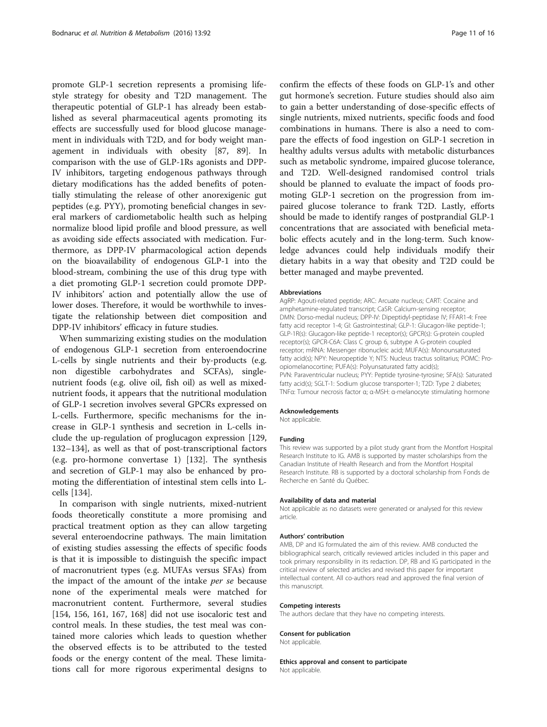promote GLP-1 secretion represents a promising lifestyle strategy for obesity and T2D management. The therapeutic potential of GLP-1 has already been established as several pharmaceutical agents promoting its effects are successfully used for blood glucose management in individuals with T2D, and for body weight management in individuals with obesity [\[87,](#page-12-0) [89\]](#page-13-0). In comparison with the use of GLP-1Rs agonists and DPP-IV inhibitors, targeting endogenous pathways through dietary modifications has the added benefits of potentially stimulating the release of other anorexigenic gut peptides (e.g. PYY), promoting beneficial changes in several markers of cardiometabolic health such as helping normalize blood lipid profile and blood pressure, as well as avoiding side effects associated with medication. Furthermore, as DPP-IV pharmacological action depends on the bioavailability of endogenous GLP-1 into the blood-stream, combining the use of this drug type with a diet promoting GLP-1 secretion could promote DPP-IV inhibitors' action and potentially allow the use of lower doses. Therefore, it would be worthwhile to investigate the relationship between diet composition and DPP-IV inhibitors' efficacy in future studies.

When summarizing existing studies on the modulation of endogenous GLP-1 secretion from enteroendocrine L-cells by single nutrients and their by-products (e.g. non digestible carbohydrates and SCFAs), singlenutrient foods (e.g. olive oil, fish oil) as well as mixednutrient foods, it appears that the nutritional modulation of GLP-1 secretion involves several GPCRs expressed on L-cells. Furthermore, specific mechanisms for the increase in GLP-1 synthesis and secretion in L-cells include the up-regulation of proglucagon expression [[129](#page-14-0), [132](#page-14-0)–[134](#page-14-0)], as well as that of post-transcriptional factors (e.g. pro-hormone convertase 1) [\[132\]](#page-14-0). The synthesis and secretion of GLP-1 may also be enhanced by promoting the differentiation of intestinal stem cells into Lcells [[134](#page-14-0)].

In comparison with single nutrients, mixed-nutrient foods theoretically constitute a more promising and practical treatment option as they can allow targeting several enteroendocrine pathways. The main limitation of existing studies assessing the effects of specific foods is that it is impossible to distinguish the specific impact of macronutrient types (e.g. MUFAs versus SFAs) from the impact of the amount of the intake per se because none of the experimental meals were matched for macronutrient content. Furthermore, several studies [[154, 156](#page-14-0), [161,](#page-14-0) [167](#page-15-0), [168\]](#page-15-0) did not use isocaloric test and control meals. In these studies, the test meal was contained more calories which leads to question whether the observed effects is to be attributed to the tested foods or the energy content of the meal. These limitations call for more rigorous experimental designs to

confirm the effects of these foods on GLP-1's and other gut hormone's secretion. Future studies should also aim to gain a better understanding of dose-specific effects of single nutrients, mixed nutrients, specific foods and food combinations in humans. There is also a need to compare the effects of food ingestion on GLP-1 secretion in healthy adults versus adults with metabolic disturbances such as metabolic syndrome, impaired glucose tolerance, and T2D. Well-designed randomised control trials should be planned to evaluate the impact of foods promoting GLP-1 secretion on the progression from impaired glucose tolerance to frank T2D. Lastly, efforts should be made to identify ranges of postprandial GLP-1 concentrations that are associated with beneficial metabolic effects acutely and in the long-term. Such knowledge advances could help individuals modify their dietary habits in a way that obesity and T2D could be better managed and maybe prevented.

#### Abbreviations

AgRP: Agouti-related peptide; ARC: Arcuate nucleus; CART: Cocaine and amphetamine-regulated transcript; CaSR: Calcium-sensing receptor; DMN: Dorso-medial nucleus; DPP-IV: Dipeptidyl-peptidase IV; FFAR1-4: Free fatty acid receptor 1-4; GI: Gastrointestinal; GLP-1: Glucagon-like peptide-1; GLP-1R(s): Glucagon-like peptide-1 receptor(s); GPCR(s): G-protein coupled receptor(s); GPCR-C6A: Class C group 6, subtype A G-protein coupled receptor; mRNA: Messenger ribonucleic acid; MUFA(s): Monounsaturated fatty acid(s); NPY: Neuropeptide Y; NTS: Nucleus tractus solitarius; POMC: Proopiomelanocortine; PUFA(s): Polyunsaturated fatty acid(s); PVN: Paraventricular nucleus; PYY: Peptide tyrosine-tyrosine; SFA(s): Saturated fatty acid(s); SGLT-1: Sodium glucose transporter-1; T2D: Type 2 diabetes; TNFα: Tumour necrosis factor α; α-MSH: α-melanocyte stimulating hormone

#### Acknowledgements

Not applicable.

#### Funding

This review was supported by a pilot study grant from the Montfort Hospital Research Institute to IG. AMB is supported by master scholarships from the Canadian Institute of Health Research and from the Montfort Hospital Research Institute. RB is supported by a doctoral scholarship from Fonds de Recherche en Santé du Québec.

#### Availability of data and material

Not applicable as no datasets were generated or analysed for this review article.

#### Authors' contribution

AMB, DP and IG formulated the aim of this review. AMB conducted the bibliographical search, critically reviewed articles included in this paper and took primary responsibility in its redaction. DP, RB and IG participated in the critical review of selected articles and revised this paper for important intellectual content. All co-authors read and approved the final version of this manuscript.

#### Competing interests

The authors declare that they have no competing interests.

#### Consent for publication

Not applicable.

# Ethics approval and consent to participate

Not applicable.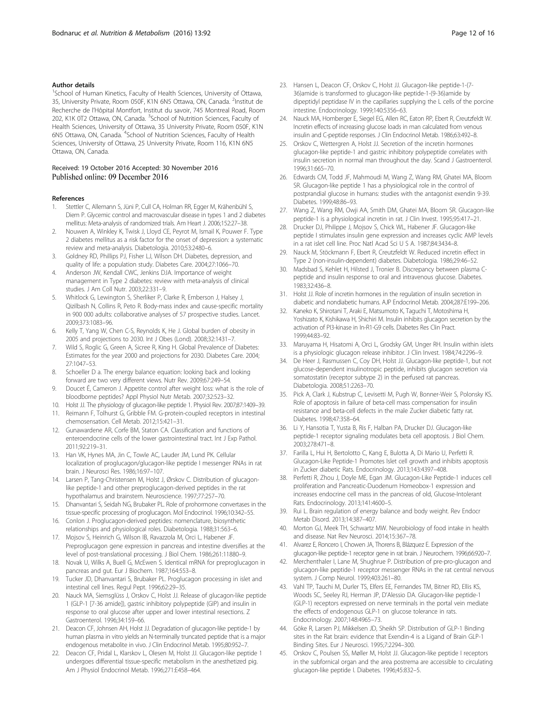### <span id="page-11-0"></span>Author details

<sup>1</sup>School of Human Kinetics, Faculty of Health Sciences, University of Ottawa, 35, University Private, Room 050F, K1N 6N5 Ottawa, ON, Canada. <sup>2</sup>Institut de Recherche de l'Hôpital Montfort, Institut du savoir, 745 Montreal Road, Room 202, K1K 0T2 Ottawa, ON, Canada. <sup>3</sup>School of Nutrition Sciences, Faculty of Health Sciences, University of Ottawa, 35 University Private, Room 050F, K1N 6N5 Ottawa, ON, Canada. <sup>4</sup>School of Nutrition Sciences, Faculty of Health Sciences, University of Ottawa, 25 University Private, Room 116, K1N 6N5 Ottawa, ON, Canada.

#### Received: 19 October 2016 Accepted: 30 November 2016 Published online: 09 December 2016

#### References

- 1. Stettler C, Allemann S, Jüni P, Cull CA, Holman RR, Egger M, Krähenbühl S, Diem P. Glycemic control and macrovascular disease in types 1 and 2 diabetes mellitus: Meta-analysis of randomized trials. Am Heart J. 2006;152:27–38.
- 2. Nouwen A, Winkley K, Twisk J, Lloyd CE, Peyrot M, Ismail K, Pouwer F. Type 2 diabetes mellitus as a risk factor for the onset of depression: a systematic review and meta-analysis. Diabetologia. 2010;53:2480–6.
- Goldney RD, Phillips PJ, Fisher LJ, Wilson DH. Diabetes, depression, and quality of life: a population study. Diabetes Care. 2004;27:1066–70.
- 4. Anderson JW, Kendall CWC, Jenkins DJA. Importance of weight management in Type 2 diabetes: review with meta-analysis of clinical studies. J Am Coll Nutr. 2003;22:331–9.
- 5. Whitlock G, Lewington S, Sherliker P, Clarke R, Emberson J, Halsey J, Qizilbash N, Collins R, Peto R. Body-mass index and cause-specific mortality in 900 000 adults: collaborative analyses of 57 prospective studies. Lancet. 2009;373:1083–96.
- 6. Kelly T, Yang W, Chen C-S, Reynolds K, He J. Global burden of obesity in 2005 and projections to 2030. Int J Obes (Lond). 2008;32:1431–7.
- 7. Wild S, Roglic G, Green A, Sicree R, King H. Global Prevalence of Diabetes: Estimates for the year 2000 and projections for 2030. Diabetes Care. 2004; 27:1047–53.
- 8. Schoeller D a. The energy balance equation: looking back and looking forward are two very different views. Nutr Rev. 2009;67:249–54.
- 9. Doucet É, Cameron J. Appetite control after weight loss: what is the role of bloodborne peptides? Appl Physiol Nutr Metab. 2007;32:523–32.
- 10. Holst JJ. The physiology of glucagon-like peptide 1. Physiol Rev. 2007;87:1409–39. 11. Reimann F, Tolhurst G, Gribble FM. G-protein-coupled receptors in intestinal chemosensation. Cell Metab. 2012;15:421–31.
- 12. Gunawardene AR, Corfe BM, Staton CA. Classification and functions of enteroendocrine cells of the lower gastrointestinal tract. Int J Exp Pathol. 2011;92:219–31.
- 13. Han VK, Hynes MA, Jin C, Towle AC, Lauder JM, Lund PK. Cellular localization of proglucagon/glucagon-like peptide I messenger RNAs in rat brain. J Neurosci Res. 1986;16:97–107.
- 14. Larsen P, Tang-Christensen M, Holst J, Ørskov C. Distribution of glucagonlike peptide-1 and other preproglucagon-derived peptides in the rat hypothalamus and brainstem. Neuroscience. 1997;77:257–70.
- 15. Dhanvantari S, Seidah NG, Brubaker PL. Role of prohormone convertases in the tissue-specific processing of proglucagon. Mol Endocrinol. 1996;10:342–55.
- 16. Conlon J. Proglucagon-derived peptides: nomenclature, biosynthetic relationships and physiological roles. Diabetologia. 1988;31:563–6.
- 17. Mojsov S, Heinrich G, Wilson IB, Ravazzola M, Orci L, Habener JF. Preproglucagon gene expression in pancreas and intestine diversifies at the level of post-translational processing. J Biol Chem. 1986;261:11880–9.
- 18. Novak U, Wilks A, Buell G, McEwen S. Identical mRNA for preproglucagon in pancreas and gut. Eur J Biochem. 1987;164:553–8.
- 19. Tucker JD, Dhanvantari S, Brubaker PL. Proglucagon processing in islet and intestinal cell lines. Regul Pept. 1996;62:29–35.
- 20. Nauck MA, Siemsglüss J, Orskov C, Holst JJ. Release of glucagon-like peptide 1 (GLP-1 [7-36 amide]), gastric inhibitory polypeptide (GIP) and insulin in response to oral glucose after upper and lower intestinal resections. Z Gastroenterol. 1996;34:159–66.
- 21. Deacon CF, Johnsen AH, Holst JJ. Degradation of glucagon-like peptide-1 by human plasma in vitro yields an N-terminally truncated peptide that is a major endogenous metabolite in vivo. J Clin Endocrinol Metab. 1995;80:952–7.
- 22. Deacon CF, Pridal L, Klarskov L, Olesen M, Holst JJ. Glucagon-like peptide 1 undergoes differential tissue-specific metabolism in the anesthetized pig. Am J Physiol Endocrinol Metab. 1996;271:E458–464.
- 23. Hansen L, Deacon CF, Orskov C, Holst JJ. Glucagon-like peptide-1-(7- 36)amide is transformed to glucagon-like peptide-1-(9-36)amide by dipeptidyl peptidase IV in the capillaries supplying the L cells of the porcine intestine. Endocrinology. 1999;140:5356–63.
- 24. Nauck MA, Homberger E, Siegel EG, Allen RC, Eaton RP, Ebert R, Creutzfeldt W. Incretin effects of increasing glucose loads in man calculated from venous insulin and C-peptide responses. J Clin Endocrinol Metab. 1986;63:492–8.
- 25. Orskov C, Wettergren A, Holst JJ. Secretion of the incretin hormones glucagon-like peptide-1 and gastric inhibitory polypeptide correlates with insulin secretion in normal man throughout the day. Scand J Gastroenterol. 1996;31:665–70.
- 26. Edwards CM, Todd JF, Mahmoudi M, Wang Z, Wang RM, Ghatei MA, Bloom SR. Glucagon-like peptide 1 has a physiological role in the control of postprandial glucose in humans: studies with the antagonist exendin 9-39. Diabetes. 1999;48:86–93.
- 27. Wang Z, Wang RM, Owji AA, Smith DM, Ghatei MA, Bloom SR. Glucagon-like peptide-1 is a physiological incretin in rat. J Clin Invest. 1995;95:417–21.
- 28. Drucker DJ, Philippe J, Mojsov S, Chick WL, Habener JF. Glucagon-like peptide I stimulates insulin gene expression and increases cyclic AMP levels in a rat islet cell line. Proc Natl Acad Sci U S A. 1987;84:3434–8.
- 29. Nauck M, Stöckmann F, Ebert R, Creutzfeldt W. Reduced incretin effect in Type 2 (non-insulin-dependent) diabetes. Diabetologia. 1986;29:46–52.
- 30. Madsbad S, Kehlet H, Hilsted J, Tronier B. Discrepancy between plasma Cpeptide and insulin response to oral and intravenous glucose. Diabetes. 1983;32:436–8.
- 31. Holst JJ. Role of incretin hormones in the regulation of insulin secretion in diabetic and nondiabetic humans. AJP Endocrinol Metab. 2004;287:E199–206.
- 32. Kaneko K, Shirotani T, Araki E, Matsumoto K, Taguchi T, Motoshima H, Yoshizato K, Kishikawa H, Shichiri M. Insulin inhibits glucagon secretion by the activation of PI3-kinase in In-R1-G9 cells. Diabetes Res Clin Pract. 1999;44:83–92.
- 33. Maruyama H, Hisatomi A, Orci L, Grodsky GM, Unger RH. Insulin within islets is a physiologic glucagon release inhibitor. J Clin Invest. 1984;74:2296–9.
- 34. De Heer J, Rasmussen C, Coy DH, Holst JJ. Glucagon-like peptide-1, but not glucose-dependent insulinotropic peptide, inhibits glucagon secretion via somatostatin (receptor subtype 2) in the perfused rat pancreas. Diabetologia. 2008;51:2263–70.
- 35. Pick A, Clark J, Kubstrup C, Levisetti M, Pugh W, Bonner-Weir S, Polonsky KS. Role of apoptosis in failure of beta-cell mass compensation for insulin resistance and beta-cell defects in the male Zucker diabetic fatty rat. Diabetes. 1998;47:358–64.
- 36. Li Y, Hansotia T, Yusta B, Ris F, Halban PA, Drucker DJ. Glucagon-like peptide-1 receptor signaling modulates beta cell apoptosis. J Biol Chem. 2003;278:471–8.
- 37. Farilla L, Hui H, Bertolotto C, Kang E, Bulotta A, Di Mario U, Perfetti R. Glucagon-Like Peptide-1 Promotes Islet cell growth and inhibits apoptosis in Zucker diabetic Rats. Endocrinology. 2013;143:4397–408.
- 38. Perfetti R, Zhou J, Doyle ME, Egan JM. Glucagon-Like Peptide-1 induces cell proliferation and Pancreatic-Duodenum Homeobox-1 expression and increases endocrine cell mass in the pancreas of old, Glucose-Intolerant Rats. Endocrinology. 2013;141:4600–5.
- 39. Rui L. Brain regulation of energy balance and body weight. Rev Endocr Metab Disord. 2013;14:387–407.
- 40. Morton GJ, Meek TH, Schwartz MW. Neurobiology of food intake in health and disease. Nat Rev Neurosci. 2014;15:367–78.
- 41. Alvarez E, Roncero I, Chowen JA, Thorens B, Blázquez E. Expression of the glucagon-like peptide-1 receptor gene in rat brain. J Neurochem. 1996;66:920–7.
- 42. Merchenthaler I, Lane M, Shughrue P. Distribution of pre-pro-glucagon and glucagon-like peptide-1 receptor messenger RNAs in the rat central nervous system. J Comp Neurol. 1999;403:261–80.
- 43. Vahl TP, Tauchi M, Durler TS, Elfers EE, Fernandes TM, Bitner RD, Ellis KS, Woods SC, Seeley RJ, Herman JP, D'Alessio DA. Glucagon-like peptide-1 (GLP-1) receptors expressed on nerve terminals in the portal vein mediate the effects of endogenous GLP-1 on glucose tolerance in rats. Endocrinology. 2007;148:4965–73.
- 44. Göke R, Larsen PJ, Mikkelsen JD, Sheikh SP. Distribution of GLP-1 Binding sites in the Rat brain: evidence that Exendin-4 is a Ligand of Brain GLP-1 Binding Sites. Eur J Neurosci. 1995;7:2294–300.
- 45. Orskov C, Poulsen SS, Møller M, Holst JJ. Glucagon-like peptide I receptors in the subfornical organ and the area postrema are accessible to circulating glucagon-like peptide I. Diabetes. 1996;45:832–5.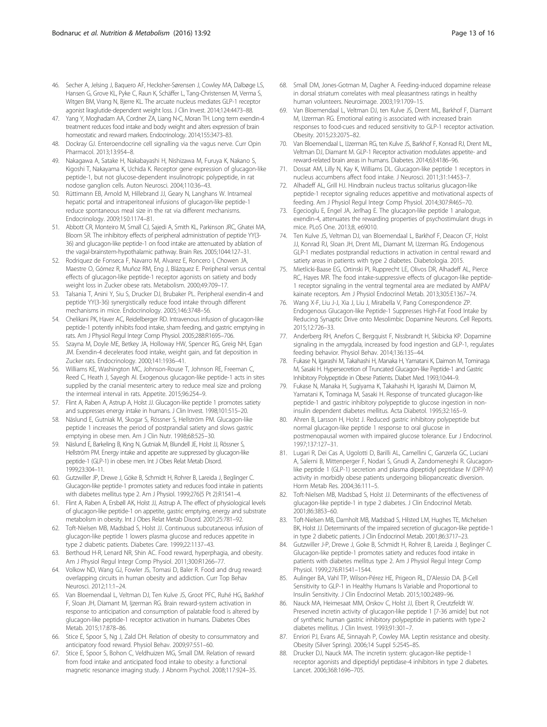- <span id="page-12-0"></span>46. Secher A, Jelsing J, Baquero AF, Hecksher-Sørensen J, Cowley MA, Dalbøge LS, Hansen G, Grove KL, Pyke C, Raun K, Schäffer L, Tang-Christensen M, Verma S, Witgen BM, Vrang N, Bjerre KL. The arcuate nucleus mediates GLP-1 receptor agonist liraglutide-dependent weight loss. J Clin Invest. 2014;124:4473–88.
- 47. Yang Y, Moghadam AA, Cordner ZA, Liang N-C, Moran TH. Long term exendin-4 treatment reduces food intake and body weight and alters expression of brain homeostatic and reward markers. Endocrinology. 2014;155:3473–83.
- 48. Dockray GJ. Enteroendocrine cell signalling via the vagus nerve. Curr Opin Pharmacol. 2013;13:954–8.
- 49. Nakagawa A, Satake H, Nakabayashi H, Nishizawa M, Furuya K, Nakano S, Kigoshi T, Nakayama K, Uchida K. Receptor gene expression of glucagon-like peptide-1, but not glucose-dependent insulinotropic polypeptide, in rat nodose ganglion cells. Auton Neurosci. 2004;110:36–43.
- 50. Rüttimann EB, Arnold M, Hillebrand JJ, Geary N, Langhans W. Intrameal hepatic portal and intraperitoneal infusions of glucagon-like peptide-1 reduce spontaneous meal size in the rat via different mechanisms. Endocrinology. 2009;150:1174–81.
- 51. Abbott CR, Monteiro M, Small CJ, Sajedi A, Smith KL, Parkinson JRC, Ghatei MA, Bloom SR. The inhibitory effects of peripheral administration of peptide YY(3- 36) and glucagon-like peptide-1 on food intake are attenuated by ablation of the vagal-brainstem-hypothalamic pathway. Brain Res. 2005;1044:127–31.
- 52. Rodriquez de Fonseca F, Navarro M, Alvarez E, Roncero I, Chowen JA, Maestre O, Gómez R, Muñoz RM, Eng J, Blázquez E. Peripheral versus central effects of glucagon-like peptide-1 receptor agonists on satiety and body weight loss in Zucker obese rats. Metabolism. 2000;49:709–17.
- 53. Talsania T, Anini Y, Siu S, Drucker DJ, Brubaker PL. Peripheral exendin-4 and peptide YY(3-36) synergistically reduce food intake through different mechanisms in mice. Endocrinology. 2005;146:3748–56.
- 54. Chelikani PK, Haver AC, Reidelberger RD. Intravenous infusion of glucagon-like peptide-1 potently inhibits food intake, sham feeding, and gastric emptying in rats. Am J Physiol Regul Integr Comp Physiol. 2005;288:R1695–706.
- 55. Szayna M, Doyle ME, Betkey JA, Holloway HW, Spencer RG, Greig NH, Egan JM. Exendin-4 decelerates food intake, weight gain, and fat deposition in Zucker rats. Endocrinology. 2000;141:1936–41.
- 56. Williams KE, Washington MC, Johnson-Rouse T, Johnson RE, Freeman C, Reed C, Heath J, Sayegh AI. Exogenous glucagon-like peptide-1 acts in sites supplied by the cranial mesenteric artery to reduce meal size and prolong the intermeal interval in rats. Appetite. 2015;96:254–9.
- 57. Flint A, Raben A, Astrup A, Holst JJ. Glucagon-like peptide 1 promotes satiety and suppresses energy intake in humans. J Clin Invest. 1998;101:515–20.
- 58. Näslund E, Gutniak M, Skogar S, Rössner S, Hellström PM. Glucagon-like peptide 1 increases the period of postprandial satiety and slows gastric emptying in obese men. Am J Clin Nutr. 1998;68:525–30.
- 59. Näslund E, Barkeling B, King N, Gutniak M, Blundell JE, Holst JJ, Rössner S, Hellström PM. Energy intake and appetite are suppressed by glucagon-like peptide-1 (GLP-1) in obese men. Int J Obes Relat Metab Disord. 1999;23:304–11.
- 60. Gutzwiller JP, Drewe J, Göke B, Schmidt H, Rohrer B, Lareida J, Beglinger C. Glucagon-like peptide-1 promotes satiety and reduces food intake in patients with diabetes mellitus type 2. Am J Physiol. 1999;276(5 Pt 2):R1541–4.
- 61. Flint A, Raben A, Ersbøll AK, Holst JJ, Astrup A. The effect of physiological levels of glucagon-like peptide-1 on appetite, gastric emptying, energy and substrate metabolism in obesity. Int J Obes Relat Metab Disord. 2001;25:781–92.
- 62. Toft-Nielsen MB, Madsbad S, Holst JJ. Continuous subcutaneous infusion of glucagon-like peptide 1 lowers plasma glucose and reduces appetite in type 2 diabetic patients. Diabetes Care. 1999;22:1137–43.
- 63. Berthoud H-R, Lenard NR, Shin AC. Food reward, hyperphagia, and obesity. Am J Physiol Regul Integr Comp Physiol. 2011;300:R1266–77.
- 64. Volkow ND, Wang GJ, Fowler JS, Tomasi D, Baler R. Food and drug reward: overlapping circuits in human obesity and addiction. Curr Top Behav Neurosci. 2012;11:1–24.
- 65. Van Bloemendaal L, Veltman DJ, Ten Kulve JS, Groot PFC, Ruhé HG, Barkhof F, Sloan JH, Diamant M, Ijzerman RG. Brain reward-system activation in response to anticipation and consumption of palatable food is altered by glucagon-like peptide-1 receptor activation in humans. Diabetes Obes Metab. 2015;17:878–86.
- 66. Stice E, Spoor S, Ng J, Zald DH. Relation of obesity to consummatory and anticipatory food reward. Physiol Behav. 2009;97:551–60.
- 67. Stice E, Spoor S, Bohon C, Veldhuizen MG, Small DM. Relation of reward from food intake and anticipated food intake to obesity: a functional magnetic resonance imaging study. J Abnorm Psychol. 2008;117:924–35.
- 68. Small DM, Jones-Gotman M, Dagher A. Feeding-induced dopamine release in dorsal striatum correlates with meal pleasantness ratings in healthy human volunteers. Neuroimage. 2003;19:1709–15.
- 69. Van Bloemendaal L, Veltman DJ, ten Kulve JS, Drent ML, Barkhof F, Diamant M, IJzerman RG. Emotional eating is associated with increased brain responses to food-cues and reduced sensitivity to GLP-1 receptor activation. Obesity. 2015;23:2075–82.
- 70. Van Bloemendaal L, IJzerman RG, ten Kulve JS, Barkhof F, Konrad RJ, Drent ML, Veltman DJ, Diamant M. GLP-1 Receptor activation modulates appetite- and reward-related brain areas in humans. Diabetes. 2014;63:4186–96.
- 71. Dossat AM, Lilly N, Kay K, Williams DL. Glucagon-like peptide 1 receptors in nucleus accumbens affect food intake. J Neurosci. 2011;31:14453–7.
- 72. Alhadeff AL, Grill HJ. Hindbrain nucleus tractus solitarius glucagon-like peptide-1 receptor signaling reduces appetitive and motivational aspects of feeding. Am J Physiol Regul Integr Comp Physiol. 2014;307:R465–70.
- 73. Egecioglu E, Engel JA, Jerlhag E. The glucagon-like peptide 1 analogue, exendin-4, attenuates the rewarding properties of psychostimulant drugs in mice. PLoS One. 2013;8, e69010.
- 74. Ten Kulve JS, Veltman DJ, van Bloemendaal L, Barkhof F, Deacon CF, Holst JJ, Konrad RJ, Sloan JH, Drent ML, Diamant M, IJzerman RG. Endogenous GLP-1 mediates postprandial reductions in activation in central reward and satiety areas in patients with type 2 diabetes. Diabetologia. 2015.
- 75. Mietlicki-Baase EG, Ortinski PI, Rupprecht LE, Olivos DR, Alhadeff AL, Pierce RC, Hayes MR. The food intake-suppressive effects of glucagon-like peptide-1 receptor signaling in the ventral tegmental area are mediated by AMPA/ kainate receptors. Am J Physiol Endocrinol Metab. 2013;305:E1367–74.
- 76. Wang X-F, Liu J-J, Xia J, Liu J, Mirabella V, Pang Correspondence ZP. Endogenous Glucagon-like Peptide-1 Suppresses High-Fat Food Intake by Reducing Synaptic Drive onto Mesolimbic Dopamine Neurons. Cell Reports. 2015;12:726–33.
- 77. Anderberg RH, Anefors C, Bergquist F, Nissbrandt H, Skibicka KP. Dopamine signaling in the amygdala, increased by food ingestion and GLP-1, regulates feeding behavior. Physiol Behav. 2014;136:135–44.
- 78. Fukase N, Igarashi M, Takahashi H, Manaka H, Yamatani K, Daimon M, Tominaga M, Sasaki H. Hypersecretion of Truncated Glucagon-like Peptide-1 and Gastric Inhibitory Polypeptide in Obese Patients. Diabet Med. 1993;10:44–9.
- 79. Fukase N, Manaka H, Sugiyama K, Takahashi H, Igarashi M, Daimon M, Yamatani K, Tominaga M, Sasaki H. Response of truncated glucagon-like peptide-1 and gastric inhibitory polypeptide to glucose ingestion in noninsulin dependent diabetes mellitus. Acta Diabetol. 1995;32:165–9.
- 80. Ahren B, Larsson H, Holst J. Reduced gastric inhibitory polypeptide but normal glucagon-like peptide 1 response to oral glucose in postmenopausal women with impaired glucose tolerance. Eur J Endocrinol. 1997;137:127–31.
- 81. Lugari R, Dei Cas A, Ugolotti D, Barilli AL, Camellini C, Ganzerla GC, Luciani A, Salerni B, Mittenperger F, Nodari S, Gnudi A, Zandomeneghi R. Glucagonlike peptide 1 (GLP-1) secretion and plasma dipeptidyl peptidase IV (DPP-IV) activity in morbidly obese patients undergoing biliopancreatic diversion. Horm Metab Res. 2004;36:111–5.
- 82. Toft-Nielsen MB, Madsbad S, Holst JJ. Determinants of the effectiveness of glucagon-like peptide-1 in type 2 diabetes. J Clin Endocrinol Metab. 2001;86:3853–60.
- 83. Toft-Nielsen MB, Damholt MB, Madsbad S, Hilsted LM, Hughes TE, Michelsen BK, Holst JJ. Determinants of the impaired secretion of glucagon-like peptide-1 in type 2 diabetic patients. J Clin Endocrinol Metab. 2001;86:3717–23.
- 84. Gutzwiller J-P, Drewe J, Goke B, Schmidt H, Rohrer B, Lareida J, Beglinger C. Glucagon-like peptide-1 promotes satiety and reduces food intake in patients with diabetes mellitus type 2. Am J Physiol Regul Integr Comp Physiol. 1999;276:R1541–1544.
- 85. Aulinger BA, Vahl TP, Wilson-Pérez HE, Prigeon RL, D'Alessio DA. β-Cell Sensitivity to GLP-1 in Healthy Humans Is Variable and Proportional to Insulin Sensitivity. J Clin Endocrinol Metab. 2015;100:2489–96.
- 86. Nauck MA, Heimesaat MM, Orskov C, Holst JJ, Ebert R, Creutzfeldt W. Preserved incretin activity of glucagon-like peptide 1 [7-36 amide] but not of synthetic human gastric inhibitory polypeptide in patients with type-2 diabetes mellitus. J Clin Invest. 1993;91:301–7.
- 87. Enriori PJ, Evans AE, Sinnayah P, Cowley MA. Leptin resistance and obesity. Obesity (Silver Spring). 2006;14 Suppl 5:254S–8S.
- 88. Drucker DJ, Nauck MA. The incretin system: glucagon-like peptide-1 receptor agonists and dipeptidyl peptidase-4 inhibitors in type 2 diabetes. Lancet. 2006;368:1696–705.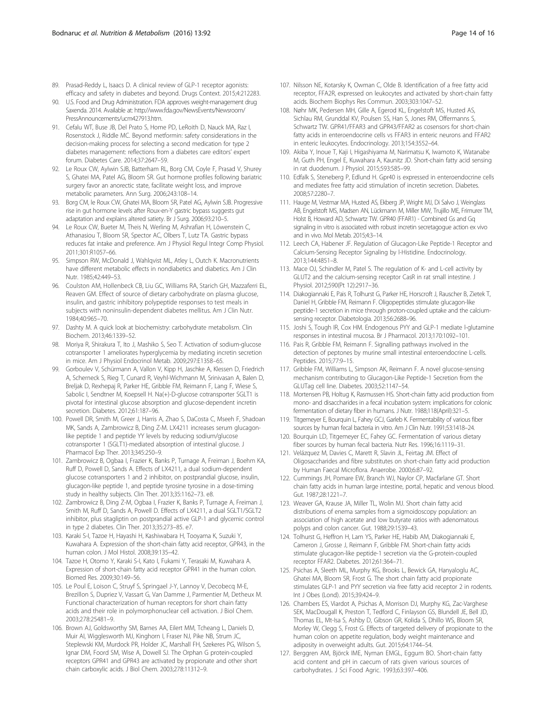- <span id="page-13-0"></span>89. Prasad-Reddy L, Isaacs D. A clinical review of GLP-1 receptor agonists: efficacy and safety in diabetes and beyond. Drugs Context. 2015;4:212283.
- 90. U.S. Food and Drug Administration. FDA approves weight-management drug Saxenda. 2014. Available at: [http://www.fda.gov/NewsEvents/Newsroom/](http://www.fda.gov/NewsEvents/Newsroom/PressAnnouncements/ucm427913.htm) [PressAnnouncements/ucm427913.htm.](http://www.fda.gov/NewsEvents/Newsroom/PressAnnouncements/ucm427913.htm)
- 91. Cefalu WT, Buse JB, Del Prato S, Home PD, LeRoith D, Nauck MA, Raz I, Rosenstock J, Riddle MC. Beyond metformin: safety considerations in the decision-making process for selecting a second medication for type 2 diabetes management: reflections from a diabetes care editors' expert forum. Diabetes Care. 2014;37:2647–59.
- 92. Le Roux CW, Aylwin SJB, Batterham RL, Borg CM, Coyle F, Prasad V, Shurey S, Ghatei MA, Patel AG, Bloom SR. Gut hormone profiles following bariatric surgery favor an anorectic state, facilitate weight loss, and improve metabolic parameters. Ann Surg. 2006;243:108–14.
- 93. Borg CM, le Roux CW, Ghatei MA, Bloom SR, Patel AG, Aylwin SJB. Progressive rise in gut hormone levels after Roux-en-Y gastric bypass suggests gut adaptation and explains altered satiety. Br J Surg. 2006;93:210–5.
- 94. Le Roux CW, Bueter M, Theis N, Werling M, Ashrafian H, Löwenstein C, Athanasiou T, Bloom SR, Spector AC, Olbers T, Lutz TA. Gastric bypass reduces fat intake and preference. Am J Physiol Regul Integr Comp Physiol. 2011;301:R1057–66.
- 95. Simpson RW, McDonald J, Wahlqvist ML, Atley L, Outch K. Macronutrients have different metabolic effects in nondiabetics and diabetics. Am J Clin Nutr. 1985;42:449–53.
- 96. Coulston AM, Hollenbeck CB, Liu GC, Williams RA, Starich GH, Mazzaferri EL, Reaven GM. Effect of source of dietary carbohydrate on plasma glucose, insulin, and gastric inhibitory polypeptide responses to test meals in subjects with noninsulin-dependent diabetes mellitus. Am J Clin Nutr. 1984;40:965–70.
- 97. Dashty M. A quick look at biochemistry: carbohydrate metabolism. Clin Biochem. 2013;46:1339–52.
- 98. Moriya R, Shirakura T, Ito J, Mashiko S, Seo T. Activation of sodium-glucose cotransporter 1 ameliorates hyperglycemia by mediating incretin secretion in mice. Am J Physiol Endocrinol Metab. 2009;297:E1358–65.
- 99. Gorboulev V, Schürmann A, Vallon V, Kipp H, Jaschke A, Klessen D, Friedrich A, Scherneck S, Rieg T, Cunard R, Veyhl-Wichmann M, Srinivasan A, Balen D, Breljak D, Rexhepaj R, Parker HE, Gribble FM, Reimann F, Lang F, Wiese S, Sabolic I, Sendtner M, Koepsell H. Na(+)-D-glucose cotransporter SGLT1 is pivotal for intestinal glucose absorption and glucose-dependent incretin secretion. Diabetes. 2012;61:187–96.
- 100. Powell DR, Smith M, Greer J, Harris A, Zhao S, DaCosta C, Mseeh F, Shadoan MK, Sands A, Zambrowicz B, Ding Z-M. LX4211 increases serum glucagonlike peptide 1 and peptide YY levels by reducing sodium/glucose cotransporter 1 (SGLT1)-mediated absorption of intestinal glucose. J Pharmacol Exp Ther. 2013;345:250–9.
- 101. Zambrowicz B, Ogbaa I, Frazier K, Banks P, Turnage A, Freiman J, Boehm KA, Ruff D, Powell D, Sands A. Effects of LX4211, a dual sodium-dependent glucose cotransporters 1 and 2 inhibitor, on postprandial glucose, insulin, glucagon-like peptide 1, and peptide tyrosine tyrosine in a dose-timing study in healthy subjects. Clin Ther. 2013;35:1162–73. e8.
- 102. Zambrowicz B, Ding Z-M, Ogbaa I, Frazier K, Banks P, Turnage A, Freiman J, Smith M, Ruff D, Sands A, Powell D. Effects of LX4211, a dual SGLT1/SGLT2 inhibitor, plus sitagliptin on postprandial active GLP-1 and glycemic control in type 2 diabetes. Clin Ther. 2013;35:273–85. e7.
- 103. Karaki S-I, Tazoe H, Hayashi H, Kashiwabara H, Tooyama K, Suzuki Y, Kuwahara A. Expression of the short-chain fatty acid receptor, GPR43, in the human colon. J Mol Histol. 2008;39:135–42.
- 104. Tazoe H, Otomo Y, Karaki S-I, Kato I, Fukami Y, Terasaki M, Kuwahara A. Expression of short-chain fatty acid receptor GPR41 in the human colon. Biomed Res. 2009;30:149–56.
- 105. Le Poul E, Loison C, Struyf S, Springael J-Y, Lannoy V, Decobecq M-E, Brezillon S, Dupriez V, Vassart G, Van Damme J, Parmentier M, Detheux M. Functional characterization of human receptors for short chain fatty acids and their role in polymorphonuclear cell activation. J Biol Chem. 2003;278:25481–9.
- 106. Brown AJ, Goldsworthy SM, Barnes AA, Eilert MM, Tcheang L, Daniels D, Muir AI, Wigglesworth MJ, Kinghorn I, Fraser NJ, Pike NB, Strum JC, Steplewski KM, Murdock PR, Holder JC, Marshall FH, Szekeres PG, Wilson S, Ignar DM, Foord SM, Wise A, Dowell SJ. The Orphan G protein-coupled receptors GPR41 and GPR43 are activated by propionate and other short chain carboxylic acids. J Biol Chem. 2003;278:11312–9.
- 107. Nilsson NE, Kotarsky K, Owman C, Olde B. Identification of a free fatty acid receptor, FFA2R, expressed on leukocytes and activated by short-chain fatty acids. Biochem Biophys Res Commun. 2003;303:1047–52.
- 108. Nøhr MK, Pedersen MH, Gille A, Egerod KL, Engelstoft MS, Husted AS, Sichlau RM, Grunddal KV, Poulsen SS, Han S, Jones RM, Offermanns S, Schwartz TW. GPR41/FFAR3 and GPR43/FFAR2 as cosensors for short-chain fatty acids in enteroendocrine cells vs FFAR3 in enteric neurons and FFAR2 in enteric leukocytes. Endocrinology. 2013;154:3552–64.
- 109. Akiba Y, Inoue T, Kaji I, Higashiyama M, Narimatsu K, Iwamoto K, Watanabe M, Guth PH, Engel E, Kuwahara A, Kaunitz JD. Short-chain fatty acid sensing in rat duodenum. J Physiol. 2015;593:585–99.
- 110. Edfalk S, Steneberg P, Edlund H. Gpr40 is expressed in enteroendocrine cells and mediates free fatty acid stimulation of incretin secretion. Diabetes. 2008;57:2280–7.
- 111. Hauge M, Vestmar MA, Husted AS, Ekberg JP, Wright MJ, Di Salvo J, Weinglass AB, Engelstoft MS, Madsen AN, Lückmann M, Miller MW, Trujillo ME, Frimurer TM, Holst B, Howard AD, Schwartz TW. GPR40 (FFAR1) - Combined Gs and Gq signaling in vitro is associated with robust incretin secretagogue action ex vivo and in vivo. Mol Metab. 2015;4:3–14.
- 112. Leech CA, Habener JF. Regulation of Glucagon-Like Peptide-1 Receptor and Calcium-Sensing Receptor Signaling by l-Histidine. Endocrinology. 2013;144:4851–8.
- 113. Mace OJ, Schindler M, Patel S. The regulation of K- and L-cell activity by GLUT2 and the calcium-sensing receptor CasR in rat small intestine. J Physiol. 2012;590(Pt 12):2917–36.
- 114. Diakogiannaki E, Pais R, Tolhurst G, Parker HE, Horscroft J, Rauscher B, Zietek T, Daniel H, Gribble FM, Reimann F. Oligopeptides stimulate glucagon-like peptide-1 secretion in mice through proton-coupled uptake and the calciumsensing receptor. Diabetologia. 2013;56:2688–96.
- 115. Joshi S, Tough IR, Cox HM. Endogenous PYY and GLP-1 mediate l-glutamine responses in intestinal mucosa. Br J Pharmacol. 2013;170:1092–101.
- 116. Pais R, Gribble FM, Reimann F. Signalling pathways involved in the detection of peptones by murine small intestinal enteroendocrine L-cells. Peptides. 2015;77:9–15.
- 117. Gribble FM, Williams L, Simpson AK, Reimann F. A novel glucose-sensing mechanism contributing to Glucagon-Like Peptide-1 Secretion from the GLUTag cell line. Diabetes. 2003;52:1147–54.
- 118. Mortensen PB, Holtug K, Rasmussen HS. Short-chain fatty acid production from mono- and disaccharides in a fecal incubation system: implications for colonic fermentation of dietary fiber in humans. J Nutr. 1988;118(April):321–5.
- 119. Titgemeyer E, Bourquin L, Fahey GCJ, Garleb K. Fermentability of various fiber sources by human fecal bacteria in vitro. Am J Clin Nutr. 1991;53:1418–24.
- 120. Bourquin LD, Titgemeyer EC, Fahey GC. Fermentation of various dietary fiber sources by human fecal bacteria. Nutr Res. 1996;16:1119–31.
- 121. Velázquez M, Davies C, Marett R, Slavin JL, Feirtag JM. Effect of Oligosaccharides and fibre substitutes on short-chain fatty acid production by Human Faecal Microflora. Anaerobe. 2000;6:87–92.
- 122. Cummings JH, Pomare EW, Branch WJ, Naylor CP, Macfarlane GT. Short chain fatty acids in human large intestine, portal, hepatic and venous blood. Gut. 1987;28:1221–7.
- 123. Weaver GA, Krause JA, Miller TL, Wolin MJ. Short chain fatty acid distributions of enema samples from a sigmoidoscopy population: an association of high acetate and low butyrate ratios with adenomatous polyps and colon cancer. Gut. 1988;29:1539–43.
- 124. Tolhurst G, Heffron H, Lam YS, Parker HE, Habib AM, Diakogiannaki E, Cameron J, Grosse J, Reimann F, Gribble FM. Short-chain fatty acids stimulate glucagon-like peptide-1 secretion via the G-protein-coupled receptor FFAR2. Diabetes. 2012;61:364–71.
- 125. Psichas A, Sleeth ML, Murphy KG, Brooks L, Bewick GA, Hanyaloglu AC, Ghatei MA, Bloom SR, Frost G. The short chain fatty acid propionate stimulates GLP-1 and PYY secretion via free fatty acid receptor 2 in rodents. Int J Obes (Lond). 2015;39:424–9.
- 126. Chambers ES, Viardot A, Psichas A, Morrison DJ, Murphy KG, Zac-Varghese SEK, MacDougall K, Preston T, Tedford C, Finlayson GS, Blundell JE, Bell JD, Thomas EL, Mt-Isa S, Ashby D, Gibson GR, Kolida S, Dhillo WS, Bloom SR, Morley W, Clegg S, Frost G. Effects of targeted delivery of propionate to the human colon on appetite regulation, body weight maintenance and adiposity in overweight adults. Gut. 2015;64:1744–54.
- 127. Berggren AM, Björck IME, Nyman EMGL, Eggum BO. Short-chain fatty acid content and pH in caecum of rats given various sources of carbohydrates. J Sci Food Agric. 1993;63:397–406.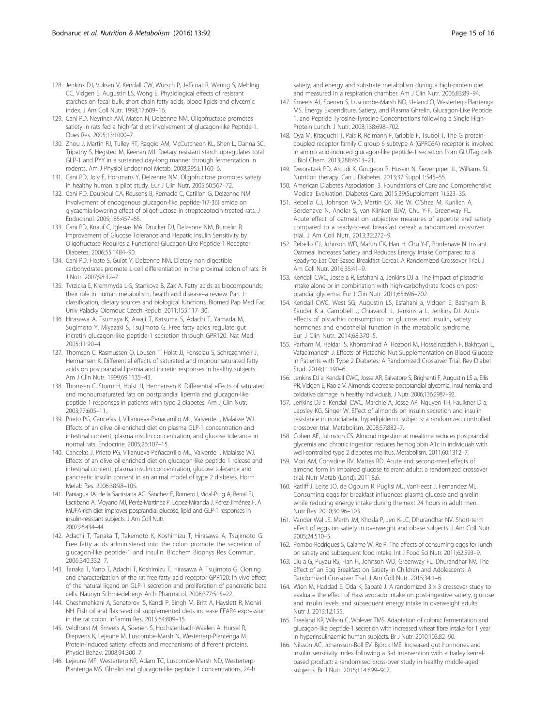- <span id="page-14-0"></span>128. Jenkins DJ, Vuksan V, Kendall CW, Würsch P, Jeffcoat R, Waring S, Mehling CC, Vidgen E, Augustin LS, Wong E. Physiological effects of resistant starches on fecal bulk, short chain fatty acids, blood lipids and glycemic index. J Am Coll Nutr. 1998;17:609–16.
- 129. Cani PD, Neyrinck AM, Maton N, Delzenne NM. Oligofructose promotes satiety in rats fed a high-fat diet: involvement of glucagon-like Peptide-1. Obes Res. 2005;13:1000–7.
- 130. Zhou J, Martin RJ, Tulley RT, Raggio AM, McCutcheon KL, Shen L, Danna SC, Tripathy S, Hegsted M, Keenan MJ. Dietary resistant starch upregulates total GLP-1 and PYY in a sustained day-long manner through fermentation in rodents. Am J Physiol Endocrinol Metab. 2008;295:E1160–6.
- 131. Cani PD, Joly E, Horsmans Y, Delzenne NM. Oligofructose promotes satiety in healthy human: a pilot study. Eur J Clin Nutr. 2005;60:567–72.
- 132. Cani PD, Daubioul CA, Reusens B, Remacle C, Catillon G, Delzenne NM. Involvement of endogenous glucagon-like peptide-1(7-36) amide on glycaemia-lowering effect of oligofructose in streptozotocin-treated rats. J Endocrinol. 2005;185:457–65.
- 133. Cani PD, Knauf C, Iglesias MA, Drucker DJ, Delzenne NM, Burcelin R. Improvement of Glucose Tolerance and Hepatic Insulin Sensitivity by Oligofructose Requires a Functional Glucagon-Like Peptide 1 Receptor. Diabetes. 2006;55:1484–90.
- 134. Cani PD, Hoste S, Guiot Y, Delzenne NM. Dietary non-digestible carbohydrates promote L-cell differentiation in the proximal colon of rats. Br J Nutr. 2007;98:32–7.
- 135. Tvrzicka E, Kremmyda L-S, Stankova B, Zak A. Fatty acids as biocompounds: their role in human metabolism, health and disease–a review. Part 1: classification, dietary sources and biological functions. Biomed Pap Med Fac Univ Palacky Olomouc Czech Repub. 2011;155:117–30.
- 136. Hirasawa A, Tsumaya K, Awaji T, Katsuma S, Adachi T, Yamada M, Sugimoto Y, Miyazaki S, Tsujimoto G. Free fatty acids regulate gut incretin glucagon-like peptide-1 secretion through GPR120. Nat Med. 2005;11:90–4.
- 137. Thomsen C, Rasmussen O, Lousen T, Holst JJ, Fenselau S, Schrezenmeir J, Hermansen K. Differential effects of saturated and monounsaturated fatty acids on postprandial lipemia and incretin responses in healthy subjects. Am J Clin Nutr. 1999;69:1135–43.
- 138. Thomsen C, Storm H, Holst JJ, Hermansen K. Differential effects of saturated and monounsaturated fats on postprandial lipemia and glucagon-like peptide 1 responses in patients with type 2 diabetes. Am J Clin Nutr. 2003;77:605–11.
- 139. Prieto PG, Cancelas J, Villanueva-Peñacarrillo ML, Valverde I, Malaisse WJ. Effects of an olive oil-enriched diet on plasma GLP-1 concentration and intestinal content, plasma insulin concentration, and glucose tolerance in normal rats. Endocrine. 2005;26:107–15.
- 140. Cancelas J, Prieto PG, Villanueva-Peñacarrillo ML, Valverde I, Malaisse WJ. Effects of an olive oil-enriched diet on glucagon-like peptide 1 release and intestinal content, plasma insulin concentration, glucose tolerance and pancreatic insulin content in an animal model of type 2 diabetes. Horm Metab Res. 2006;38:98–105.
- 141. Paniagua JA, de la Sacristana AG, Sánchez E, Romero I, Vidal-Puig A, Berral FJ, Escribano A, Moyano MJ, Peréz-Martinez P, López-Miranda J, Pérez-Jiménez F. A MUFA-rich diet improves posprandial glucose, lipid and GLP-1 responses in insulin-resistant subjects. J Am Coll Nutr. 2007;26:434–44.
- 142. Adachi T, Tanaka T, Takemoto K, Koshimizu T, Hirasawa A, Tsujimoto G. Free fatty acids administered into the colon promote the secretion of glucagon-like peptide-1 and insulin. Biochem Biophys Res Commun. 2006;340:332–7.
- 143. Tanaka T, Yano T, Adachi T, Koshimizu T, Hirasawa A, Tsujimoto G. Cloning and characterization of the rat free fatty acid receptor GPR120: in vivo effect of the natural ligand on GLP-1 secretion and proliferation of pancreatic beta cells. Naunyn Schmiedebergs Arch Pharmacol. 2008;377:515–22.
- 144. Cheshmehkani A, Senatorov IS, Kandi P, Singh M, Britt A, Hayslett R, Moniri NH. Fish oil and flax seed oil supplemented diets increase FFAR4 expression in the rat colon. Inflamm Res. 2015;64:809–15.
- 145. Veldhorst M, Smeets A, Soenen S, Hochstenbach-Waelen A, Hursel R, Diepvens K, Lejeune M, Luscombe-Marsh N, Westerterp-Plantenga M. Protein-induced satiety: effects and mechanisms of different proteins. Physiol Behav. 2008;94:300–7.
- 146. Lejeune MP, Westerterp KR, Adam TC, Luscombe-Marsh ND, Westerterp-Plantenga MS. Ghrelin and glucagon-like peptide 1 concentrations, 24-h

satiety, and energy and substrate metabolism during a high-protein diet and measured in a respiration chamber. Am J Clin Nutr. 2006;83:89–94.

- 147. Smeets AJ, Soenen S, Luscombe-Marsh ND, Ueland O, Westerterp-Plantenga MS. Energy Expenditure, Satiety, and Plasma Ghrelin, Glucagon-Like Peptide 1, and Peptide Tyrosine-Tyrosine Concentrations following a Single High-Protein Lunch. J Nutr. 2008;138:698–702.
- 148. Oya M, Kitaguchi T, Pais R, Reimann F, Gribble F, Tsuboi T. The G proteincoupled receptor family C group 6 subtype A (GPRC6A) receptor is involved in amino acid-induced glucagon-like peptide-1 secretion from GLUTag cells. J Biol Chem. 2013;288:4513–21.
- 149. Dworatzek PD, Arcudi K, Gougeon R, Husein N, Sievenpiper JL, Williams SL. Nutrition therapy. Can J Diabetes. 2013;37 Suppl 1:S45–55.
- 150. American Diabetes Association. 3. Foundations of Care and Comprehensive Medical Evaluation. Diabetes Care. 2015;39(Supplement 1):S23–35.
- 151. Rebello CJ, Johnson WD, Martin CK, Xie W, O'Shea M, Kurilich A, Bordenave N, Andler S, van Klinken BJW, Chu Y-F, Greenway FL. Acute effect of oatmeal on subjective measures of appetite and satiety compared to a ready-to-eat breakfast cereal: a randomized crossover trial. J Am Coll Nutr. 2013;32:272–9.
- 152. Rebello CJ, Johnson WD, Martin CK, Han H, Chu Y-F, Bordenave N. Instant Oatmeal Increases Satiety and Reduces Energy Intake Compared to a Ready-to-Eat Oat-Based Breakfast Cereal: A Randomized Crossover Trial. J Am Coll Nutr. 2016;35:41–9.
- 153. Kendall CWC, Josse a R, Esfahani a, Jenkins DJ a. The impact of pistachio intake alone or in combination with high-carbohydrate foods on postprandial glycemia. Eur J Clin Nutr. 2011;65:696–702.
- 154. Kendall CWC, West SG, Augustin LS, Esfahani a, Vidgen E, Bashyam B, Sauder K a, Campbell J, Chiavaroli L, Jenkins a L, Jenkins DJ. Acute effects of pistachio consumption on glucose and insulin, satiety hormones and endothelial function in the metabolic syndrome. Eur J Clin Nutr. 2014;68:370–5.
- 155. Parham M, Heidari S, Khorramirad A, Hozoori M, Hosseinzadeh F, Bakhtyari L, Vafaeimanesh J. Effects of Pistachio Nut Supplementation on Blood Glucose in Patients with Type 2 Diabetes: A Randomized Crossover Trial. Rev Diabet Stud. 2014;11:190–6.
- 156. Jenkins DJ a, Kendall CWC, Josse AR, Salvatore S, Brighenti F, Augustin LS a, Ellis PR, Vidgen E, Rao a V. Almonds decrease postprandial glycemia, insulinemia, and oxidative damage in healthy individuals. J Nutr. 2006;136:2987–92.
- 157. Jenkins DJ a, Kendall CWC, Marchie A, Josse AR, Nguyen TH, Faulkner D a, Lapsley KG, Singer W. Effect of almonds on insulin secretion and insulin resistance in nondiabetic hyperlipidemic subjects: a randomized controlled crossover trial. Metabolism. 2008;57:882–7.
- 158. Cohen AE, Johnston CS. Almond ingestion at mealtime reduces postprandial glycemia and chronic ingestion reduces hemoglobin A1c in individuals with well-controlled type 2 diabetes mellitus. Metabolism. 2011;60:1312–7.
- 159. Mori AM, Considine RV, Mattes RD. Acute and second-meal effects of almond form in impaired glucose tolerant adults: a randomized crossover trial. Nutr Metab (Lond). 2011;8:6.
- 160. Ratliff J, Leite JO, de Ogburn R, Puglisi MJ, VanHeest J, Fernandez ML. Consuming eggs for breakfast influences plasma glucose and ghrelin, while reducing energy intake during the next 24 hours in adult men. Nutr Res. 2010;30:96–103.
- 161. Vander Wal JS, Marth JM, Khosla P, Jen K-LC, Dhurandhar NV. Short-term effect of eggs on satiety in overweight and obese subjects. J Am Coll Nutr. 2005;24:510–5.
- 162. Pombo-Rodrigues S, Calame W, Re R. The effects of consuming eggs for lunch on satiety and subsequent food intake. Int J Food Sci Nutr. 2011;62:593–9.
- 163. Liu a G, Puyau RS, Han H, Johnson WD, Greenway FL, Dhurandhar NV. The Effect of an Egg Breakfast on Satiety in Children and Adolescents: A Randomized Crossover Trial. J Am Coll Nutr. 2015;34:1–6.
- 164. Wien M, Haddad E, Oda K, Sabaté J. A randomized 3 × 3 crossover study to evaluate the effect of Hass avocado intake on post-ingestive satiety, glucose and insulin levels, and subsequent energy intake in overweight adults. Nutr J. 2013;12:155.
- 165. Freeland KR, Wilson C, Wolever TMS. Adaptation of colonic fermentation and glucagon-like peptide-1 secretion with increased wheat fibre intake for 1 year in hyperinsulinaemic human subjects. Br J Nutr. 2010;103:82–90.
- 166. Nilsson AC, Johansson-Boll EV, Björck IME. Increased gut hormones and insulin sensitivity index following a 3-d intervention with a barley kernelbased product: a randomised cross-over study in healthy middle-aged subjects. Br J Nutr. 2015;114:899–907.